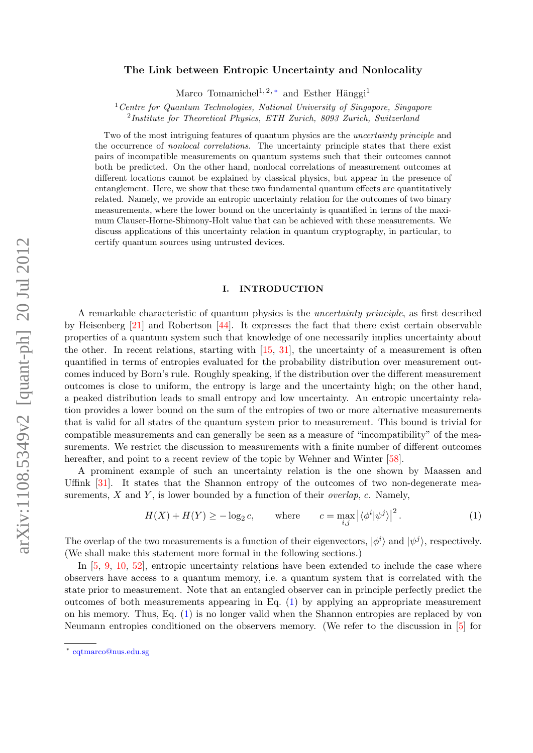# The Link between Entropic Uncertainty and Nonlocality

Marco Tomamichel<sup>1, 2, \*</sup> and Esther Hänggi<sup>1</sup>

 $1$ <sup>1</sup> Centre for Quantum Technologies, National University of Singapore, Singapore <sup>2</sup>Institute for Theoretical Physics, ETH Zurich, 8093 Zurich, Switzerland

Two of the most intriguing features of quantum physics are the uncertainty principle and the occurrence of nonlocal correlations. The uncertainty principle states that there exist pairs of incompatible measurements on quantum systems such that their outcomes cannot both be predicted. On the other hand, nonlocal correlations of measurement outcomes at different locations cannot be explained by classical physics, but appear in the presence of entanglement. Here, we show that these two fundamental quantum effects are quantitatively related. Namely, we provide an entropic uncertainty relation for the outcomes of two binary measurements, where the lower bound on the uncertainty is quantified in terms of the maximum Clauser-Horne-Shimony-Holt value that can be achieved with these measurements. We discuss applications of this uncertainty relation in quantum cryptography, in particular, to certify quantum sources using untrusted devices.

# I. INTRODUCTION

A remarkable characteristic of quantum physics is the uncertainty principle, as first described by Heisenberg [\[21\]](#page-9-0) and Robertson [\[44\]](#page-10-0). It expresses the fact that there exist certain observable properties of a quantum system such that knowledge of one necessarily implies uncertainty about the other. In recent relations, starting with [\[15,](#page-9-1) [31\]](#page-9-2), the uncertainty of a measurement is often quantified in terms of entropies evaluated for the probability distribution over measurement outcomes induced by Born's rule. Roughly speaking, if the distribution over the different measurement outcomes is close to uniform, the entropy is large and the uncertainty high; on the other hand, a peaked distribution leads to small entropy and low uncertainty. An entropic uncertainty relation provides a lower bound on the sum of the entropies of two or more alternative measurements that is valid for all states of the quantum system prior to measurement. This bound is trivial for compatible measurements and can generally be seen as a measure of "incompatibility" of the measurements. We restrict the discussion to measurements with a finite number of different outcomes hereafter, and point to a recent review of the topic by Wehner and Winter [\[58\]](#page-10-1).

A prominent example of such an uncertainty relation is the one shown by Maassen and Uffink [\[31\]](#page-9-2). It states that the Shannon entropy of the outcomes of two non-degenerate measurements,  $X$  and  $Y$ , is lower bounded by a function of their *overlap*,  $c$ . Namely,

<span id="page-0-1"></span>
$$
H(X) + H(Y) \ge -\log_2 c, \qquad \text{where} \qquad c = \max_{i,j} |\langle \phi^i | \psi^j \rangle|^2. \tag{1}
$$

The overlap of the two measurements is a function of their eigenvectors,  $|\phi^i\rangle$  and  $|\psi^j\rangle$ , respectively. (We shall make this statement more formal in the following sections.)

In  $[5, 9, 10, 52]$  $[5, 9, 10, 52]$  $[5, 9, 10, 52]$  $[5, 9, 10, 52]$  $[5, 9, 10, 52]$  $[5, 9, 10, 52]$ , entropic uncertainty relations have been extended to include the case where observers have access to a quantum memory, i.e. a quantum system that is correlated with the state prior to measurement. Note that an entangled observer can in principle perfectly predict the outcomes of both measurements appearing in Eq. [\(1\)](#page-0-1) by applying an appropriate measurement on his memory. Thus, Eq. [\(1\)](#page-0-1) is no longer valid when the Shannon entropies are replaced by von Neumann entropies conditioned on the observers memory. (We refer to the discussion in [\[5\]](#page-9-3) for

<span id="page-0-0"></span><sup>∗</sup> [cqtmarco@nus.edu.sg](mailto:cqtmarco@nus.edu.sg)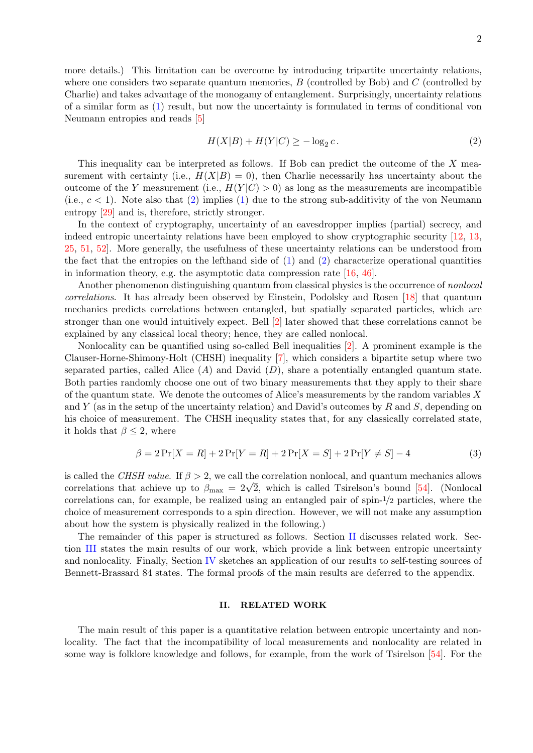more details.) This limitation can be overcome by introducing tripartite uncertainty relations, where one considers two separate quantum memories,  $B$  (controlled by Bob) and  $C$  (controlled by Charlie) and takes advantage of the monogamy of entanglement. Surprisingly, uncertainty relations of a similar form as [\(1\)](#page-0-1) result, but now the uncertainty is formulated in terms of conditional von Neumann entropies and reads [\[5\]](#page-9-3)

<span id="page-1-0"></span>
$$
H(X|B) + H(Y|C) \ge -\log_2 c. \tag{2}
$$

This inequality can be interpreted as follows. If Bob can predict the outcome of the X measurement with certainty (i.e.,  $H(X|B) = 0$ ), then Charlie necessarily has uncertainty about the outcome of the Y measurement (i.e.,  $H(Y|C) > 0$ ) as long as the measurements are incompatible (i.e.,  $c < 1$ ). Note also that [\(2\)](#page-1-0) implies [\(1\)](#page-0-1) due to the strong sub-additivity of the von Neumann entropy [\[29\]](#page-9-6) and is, therefore, strictly stronger.

In the context of cryptography, uncertainty of an eavesdropper implies (partial) secrecy, and indeed entropic uncertainty relations have been employed to show cryptographic security [\[12,](#page-9-7) [13,](#page-9-8) [25,](#page-9-9) [51,](#page-10-3) [52\]](#page-10-2). More generally, the usefulness of these uncertainty relations can be understood from the fact that the entropies on the lefthand side of  $(1)$  and  $(2)$  characterize operational quantities in information theory, e.g. the asymptotic data compression rate [\[16,](#page-9-10) [46\]](#page-10-4).

Another phenomenon distinguishing quantum from classical physics is the occurrence of nonlocal correlations. It has already been observed by Einstein, Podolsky and Rosen [\[18\]](#page-9-11) that quantum mechanics predicts correlations between entangled, but spatially separated particles, which are stronger than one would intuitively expect. Bell [\[2\]](#page-8-0) later showed that these correlations cannot be explained by any classical local theory; hence, they are called nonlocal.

Nonlocality can be quantified using so-called Bell inequalities [\[2\]](#page-8-0). A prominent example is the Clauser-Horne-Shimony-Holt (CHSH) inequality [\[7\]](#page-9-12), which considers a bipartite setup where two separated parties, called Alice  $(A)$  and David  $(D)$ , share a potentially entangled quantum state. Both parties randomly choose one out of two binary measurements that they apply to their share of the quantum state. We denote the outcomes of Alice's measurements by the random variables X and Y (as in the setup of the uncertainty relation) and David's outcomes by R and S, depending on his choice of measurement. The CHSH inequality states that, for any classically correlated state, it holds that  $\beta \leq 2$ , where

$$
\beta = 2\Pr[X = R] + 2\Pr[Y = R] + 2\Pr[X = S] + 2\Pr[Y \neq S] - 4
$$
\n(3)

is called the CHSH value. If  $\beta > 2$ , we call the correlation nonlocal, and quantum mechanics allows is called the *CHSH value.* If  $\rho > 2$ , we call the correlation nonlocal, and quantum mechanics allows correlations that achieve up to  $\beta_{\text{max}} = 2\sqrt{2}$ , which is called Tsirelson's bound [\[54\]](#page-10-5). (Nonlocal correlations can, for example, be realized using an entangled pair of spin-1/2 particles, where the choice of measurement corresponds to a spin direction. However, we will not make any assumption about how the system is physically realized in the following.)

The remainder of this paper is structured as follows. Section [II](#page-1-1) discusses related work. Section [III](#page-2-0) states the main results of our work, which provide a link between entropic uncertainty and nonlocality. Finally, Section [IV](#page-7-0) sketches an application of our results to self-testing sources of Bennett-Brassard 84 states. The formal proofs of the main results are deferred to the appendix.

# <span id="page-1-2"></span><span id="page-1-1"></span>II. RELATED WORK

The main result of this paper is a quantitative relation between entropic uncertainty and nonlocality. The fact that the incompatibility of local measurements and nonlocality are related in some way is folklore knowledge and follows, for example, from the work of Tsirelson [\[54\]](#page-10-5). For the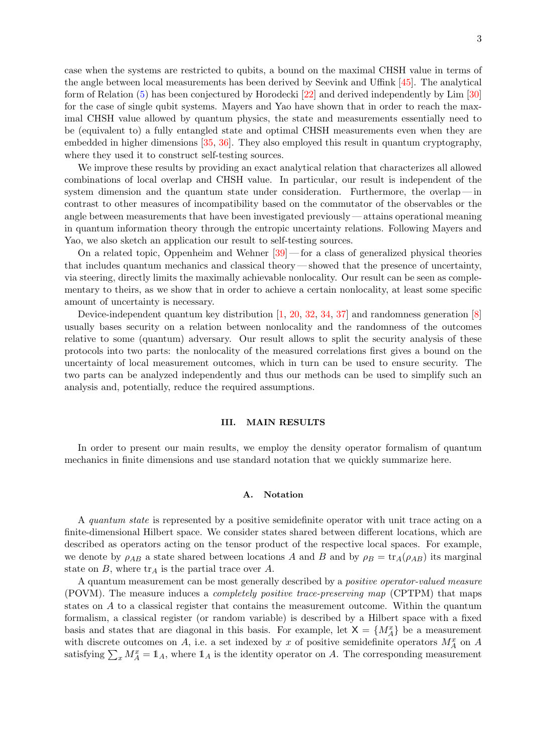case when the systems are restricted to qubits, a bound on the maximal CHSH value in terms of the angle between local measurements has been derived by Seevink and Uffink [\[45\]](#page-10-6). The analytical form of Relation [\(5\)](#page-6-0) has been conjectured by Horodecki [\[22\]](#page-9-13) and derived independently by Lim [\[30\]](#page-9-14) for the case of single qubit systems. Mayers and Yao have shown that in order to reach the maximal CHSH value allowed by quantum physics, the state and measurements essentially need to be (equivalent to) a fully entangled state and optimal CHSH measurements even when they are embedded in higher dimensions [\[35,](#page-10-7) [36\]](#page-10-8). They also employed this result in quantum cryptography, where they used it to construct self-testing sources.

We improve these results by providing an exact analytical relation that characterizes all allowed combinations of local overlap and CHSH value. In particular, our result is independent of the system dimension and the quantum state under consideration. Furthermore, the overlap — in contrast to other measures of incompatibility based on the commutator of the observables or the angle between measurements that have been investigated previously— attains operational meaning in quantum information theory through the entropic uncertainty relations. Following Mayers and Yao, we also sketch an application our result to self-testing sources.

On a related topic, Oppenheim and Wehner  $[39]$  — for a class of generalized physical theories that includes quantum mechanics and classical theory — showed that the presence of uncertainty, via steering, directly limits the maximally achievable nonlocality. Our result can be seen as complementary to theirs, as we show that in order to achieve a certain nonlocality, at least some specific amount of uncertainty is necessary.

Device-independent quantum key distribution [\[1,](#page-8-1) [20,](#page-9-15) [32,](#page-10-10) [34,](#page-10-11) [37\]](#page-10-12) and randomness generation [\[8\]](#page-9-16) usually bases security on a relation between nonlocality and the randomness of the outcomes relative to some (quantum) adversary. Our result allows to split the security analysis of these protocols into two parts: the nonlocality of the measured correlations first gives a bound on the uncertainty of local measurement outcomes, which in turn can be used to ensure security. The two parts can be analyzed independently and thus our methods can be used to simplify such an analysis and, potentially, reduce the required assumptions.

### <span id="page-2-0"></span>III. MAIN RESULTS

In order to present our main results, we employ the density operator formalism of quantum mechanics in finite dimensions and use standard notation that we quickly summarize here.

## A. Notation

A quantum state is represented by a positive semidefinite operator with unit trace acting on a finite-dimensional Hilbert space. We consider states shared between different locations, which are described as operators acting on the tensor product of the respective local spaces. For example, we denote by  $\rho_{AB}$  a state shared between locations A and B and by  $\rho_B = \text{tr}_A(\rho_{AB})$  its marginal state on  $B$ , where  $\text{tr}_A$  is the partial trace over  $A$ .

A quantum measurement can be most generally described by a positive operator-valued measure (POVM). The measure induces a completely positive trace-preserving map (CPTPM) that maps states on A to a classical register that contains the measurement outcome. Within the quantum formalism, a classical register (or random variable) is described by a Hilbert space with a fixed basis and states that are diagonal in this basis. For example, let  $X = \{M_A^x\}$  be a measurement with discrete outcomes on A, i.e. a set indexed by x of positive semidefinite operators  $M_A^x$  on A satisfying  $\sum_x M_A^x = \mathbb{1}_A$ , where  $\mathbb{1}_A$  is the identity operator on A. The corresponding measurement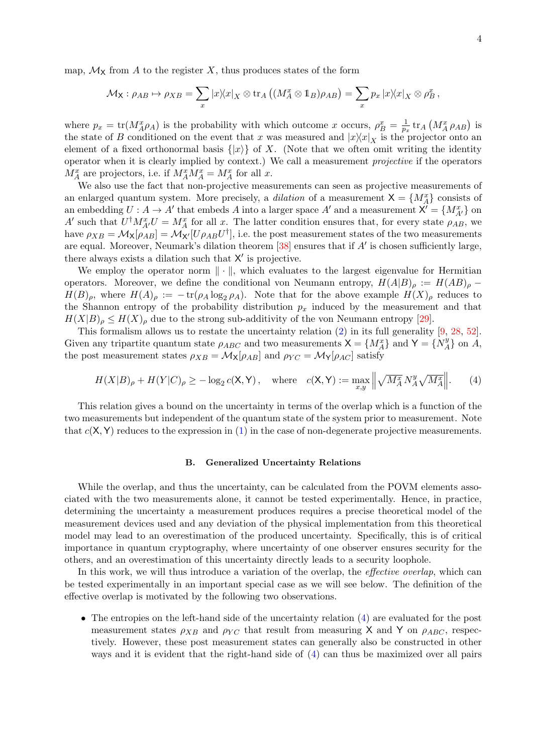map,  $\mathcal{M}_{\mathsf{X}}$  from A to the register X, thus produces states of the form

$$
\mathcal{M}_{\mathsf{X}}: \rho_{AB} \mapsto \rho_{XB} = \sum_{x} |x\rangle\langle x|_{X} \otimes \text{tr}_{A} ((M_{A}^{x} \otimes \mathbb{1}_{B})\rho_{AB}) = \sum_{x} p_{x} |x\rangle\langle x|_{X} \otimes \rho_{B}^{x},
$$

where  $p_x = \text{tr}(M_A^x \rho_A)$  is the probability with which outcome x occurs,  $\rho_B^x = \frac{1}{p_x^x}$  $\frac{1}{p_x}\operatorname{tr}_A\left(M_A^x\rho_{AB}\right)$  is the state of B conditioned on the event that x was measured and  $|x\rangle\langle x|_X$  is the projector onto an element of a fixed orthonormal basis  $\{|x\rangle\}$  of X. (Note that we often omit writing the identity operator when it is clearly implied by context.) We call a measurement projective if the operators  $M_A^x$  are projectors, i.e. if  $M_A^x M_A^x = M_A^x$  for all x.

We also use the fact that non-projective measurements can seen as projective measurements of an enlarged quantum system. More precisely, a *dilation* of a measurement  $X = \{M_A^x\}$  consists of an embedding  $U : A \to A'$  that embeds A into a larger space A' and a measurement  $X' = \{M_{A'}^x\}$  on A' such that  $U^{\dagger} M_{A'}^x U = M_A^x$  for all x. The latter condition ensures that, for every state  $\rho_{AB}$ , we have  $\rho_{XB} = M_X[\rho_{AB}] = M_{X'}[U\rho_{AB}U^{\dagger}],$  i.e. the post measurement states of the two measurements are equal. Moreover, Neumark's dilation theorem  $[38]$  ensures that if  $A'$  is chosen sufficiently large, there always exists a dilation such that  $X'$  is projective.

We employ the operator norm  $\|\cdot\|$ , which evaluates to the largest eigenvalue for Hermitian operators. Moreover, we define the conditional von Neumann entropy,  $H(A|B)_{\rho} := H(AB)_{\rho}$  $H(B)_{\rho}$ , where  $H(A)_{\rho} := -\text{tr}(\rho_A \log_2 \rho_A)$ . Note that for the above example  $H(X)_{\rho}$  reduces to the Shannon entropy of the probability distribution  $p_x$  induced by the measurement and that  $H(X|B)$ <sub>ρ</sub>  $\leq H(X)$ <sub>ρ</sub> due to the strong sub-additivity of the von Neumann entropy [\[29\]](#page-9-6).

This formalism allows us to restate the uncertainty relation  $(2)$  in its full generality  $[9, 28, 52]$  $[9, 28, 52]$  $[9, 28, 52]$  $[9, 28, 52]$ . Given any tripartite quantum state  $\rho_{ABC}$  and two measurements  $X = \{M_A^x\}$  and  $Y = \{N_A^y\}$  $\{H_A^y\}$  on  $A$ , the post measurement states  $\rho_{XB} = \mathcal{M}_{\mathsf{X}}[\rho_{AB}]$  and  $\rho_{YC} = \mathcal{M}_{\mathsf{Y}}[\rho_{AC}]$  satisfy

$$
H(X|B)_{\rho} + H(Y|C)_{\rho} \ge -\log_2 c(\mathbf{X}, \mathbf{Y}), \quad \text{where} \quad c(\mathbf{X}, \mathbf{Y}) := \max_{x, y} \left\| \sqrt{M_A^x} N_A^y \sqrt{M_A^x} \right\|. \tag{4}
$$

This relation gives a bound on the uncertainty in terms of the overlap which is a function of the two measurements but independent of the quantum state of the system prior to measurement. Note that  $c(X, Y)$  reduces to the expression in  $(1)$  in the case of non-degenerate projective measurements.

## <span id="page-3-0"></span>B. Generalized Uncertainty Relations

While the overlap, and thus the uncertainty, can be calculated from the POVM elements associated with the two measurements alone, it cannot be tested experimentally. Hence, in practice, determining the uncertainty a measurement produces requires a precise theoretical model of the measurement devices used and any deviation of the physical implementation from this theoretical model may lead to an overestimation of the produced uncertainty. Specifically, this is of critical importance in quantum cryptography, where uncertainty of one observer ensures security for the others, and an overestimation of this uncertainty directly leads to a security loophole.

In this work, we will thus introduce a variation of the overlap, the *effective overlap*, which can be tested experimentally in an important special case as we will see below. The definition of the effective overlap is motivated by the following two observations.

• The entropies on the left-hand side of the uncertainty relation [\(4\)](#page-3-0) are evaluated for the post measurement states  $\rho_{XB}$  and  $\rho_{YC}$  that result from measuring X and Y on  $\rho_{ABC}$ , respectively. However, these post measurement states can generally also be constructed in other ways and it is evident that the right-hand side of [\(4\)](#page-3-0) can thus be maximized over all pairs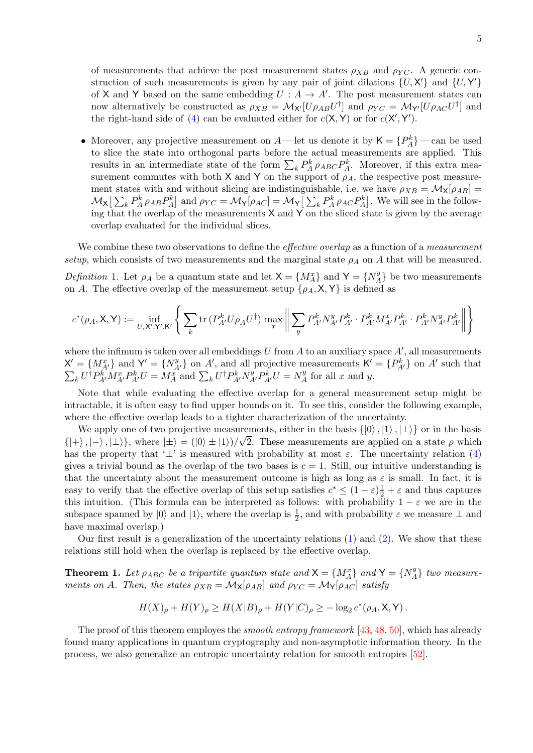of measurements that achieve the post measurement states  $\rho_{XB}$  and  $\rho_{YC}$ . A generic construction of such measurements is given by any pair of joint dilations  $\{U, \mathsf{X}'\}$  and  $\{U, \mathsf{Y}'\}$ of X and Y based on the same embedding  $U: A \to A'$ . The post measurement states can now alternatively be constructed as  $\rho_{XB} = M_{X'}[U\rho_{AB}U^{\dagger}]$  and  $\rho_{YC} = M_{Y'}[U\rho_{AC}U^{\dagger}]$  and the right-hand side of [\(4\)](#page-3-0) can be evaluated either for  $c(X, Y)$  or for  $c(X', Y')$ .

• Moreover, any projective measurement on  $A$ —let us denote it by  $\mathsf{K} = \{P_A^k\}$ —can be used to slice the state into orthogonal parts before the actual measurements are applied. This results in an intermediate state of the form  $\sum_{k} P_{A}^{k} \rho_{ABC} P_{A}^{k}$ . Moreover, if this extra measurement commutes with both X and Y on the support of  $\rho_A$ , the respective post measurement states with and without slicing are indistinguishable, i.e. we have  $\rho_{XB} = \mathcal{M}_{\mathsf{X}}[\rho_{AB}]$  $\mathcal{M}_{\mathsf{X}}\big[\sum_{k} P_{A}^{k} \rho_{AB} P_{A}^{k}\big]$  and  $\rho_{YC} = \mathcal{M}_{\mathsf{Y}}\big[\rho_{AC}\big] = \mathcal{M}_{\mathsf{Y}}\big[\sum_{k} P_{A}^{k} \rho_{AC} P_{A}^{k}\big]$ . We will see in the following that the overlap of the measurements X and Y on the sliced state is given by the average overlap evaluated for the individual slices.

We combine these two observations to define the *effective overlap* as a function of a *measurement* setup, which consists of two measurements and the marginal state  $\rho_A$  on A that will be measured.

Definition 1. Let  $\rho_A$  be a quantum state and let  $X = \{M_A^x\}$  and  $Y = \{N_A^y\}$  $\{A^y\}$  be two measurements on A. The effective overlap of the measurement setup  $\{\rho_A, \mathsf{X}, \mathsf{Y}\}\$ is defined as

$$
c^*(\rho_A, \mathsf{X}, \mathsf{Y}) := \inf_{U, \mathsf{X}', \mathsf{Y}', \mathsf{K}'} \left\{ \sum_k \text{tr} \left( P_{A'}^k U \rho_A U^{\dagger} \right) \max_x \left\| \sum_y P_{A'}^k N_{A'}^y P_{A'}^k \cdot P_{A'}^k M_{A'}^x P_{A'}^k \cdot P_{A'}^k N_{A'}^y P_{A'}^k \right\| \right\}
$$

where the infimum is taken over all embeddings U from A to an auxiliary space  $A'$ , all measurements  $X' = \{M_{A'}^x\}$  and  $Y' = \{N_{A'}^y\}$  on A', and all projective measurements  $K' = \{P_{A'}^k\}$  on A'  $\sum$ such that  $\kappa U^{\dagger} P_{A'}^{k'} M_{A'}^x P_{A'}^k U = M_A^x$  and  $\sum_k U^{\dagger} P_{A'}^k N_{A'}^y P_{A'}^k U = N_A^y$  $\chi_A^y$  for all x and y.

Note that while evaluating the effective overlap for a general measurement setup might be intractable, it is often easy to find upper bounds on it. To see this, consider the following example, where the effective overlap leads to a tighter characterization of the uncertainty.

We apply one of two projective measurements, either in the basis  $\{|0\rangle, |1\rangle, |\perp\rangle\}$  or in the basis  $\{|+\rangle, |-\rangle, |\perp\rangle\},$  where  $|\pm\rangle = (|0\rangle \pm |1\rangle)/\sqrt{2}$ . These measurements are applied on a state  $\rho$  which has the property that ' $\perp$ ' is measured with probability at most  $\varepsilon$ . The uncertainty relation [\(4\)](#page-3-0) gives a trivial bound as the overlap of the two bases is  $c = 1$ . Still, our intuitive understanding is that the uncertainty about the measurement outcome is high as long as  $\varepsilon$  is small. In fact, it is easy to verify that the effective overlap of this setup satisfies  $c^* \leq (1 - \varepsilon)\frac{1}{2} + \varepsilon$  and thus captures this intuition. (This formula can be interpreted as follows: with probability  $1 - \varepsilon$  we are in the subspace spanned by  $|0\rangle$  and  $|1\rangle$ , where the overlap is  $\frac{1}{2}$ , and with probability  $\varepsilon$  we measure  $\perp$  and have maximal overlap.)

Our first result is a generalization of the uncertainty relations  $(1)$  and  $(2)$ . We show that these relations still hold when the overlap is replaced by the effective overlap.

<span id="page-4-0"></span>**Theorem 1.** Let  $\rho_{ABC}$  be a tripartite quantum state and  $X = \{M_A^x\}$  and  $Y = \{N_A^y\}$  $\{H_A^y\}$  two measurements on A. Then, the states  $\rho_{XB} = \mathcal{M}_{\mathsf{X}}[\rho_{AB}]$  and  $\rho_{YC} = \mathcal{M}_{\mathsf{Y}}[\rho_{AC}]$  satisfy

$$
H(X)_{\rho} + H(Y)_{\rho} \ge H(X|B)_{\rho} + H(Y|C)_{\rho} \ge -\log_2 c^*(\rho_A, \mathsf{X}, \mathsf{Y}).
$$

The proof of this theorem employes the *smooth entropy framework* [\[43,](#page-10-14) [48,](#page-10-15) [50\]](#page-10-16), which has already found many applications in quantum cryptography and non-asymptotic information theory. In the process, we also generalize an entropic uncertainty relation for smooth entropies [\[52\]](#page-10-2).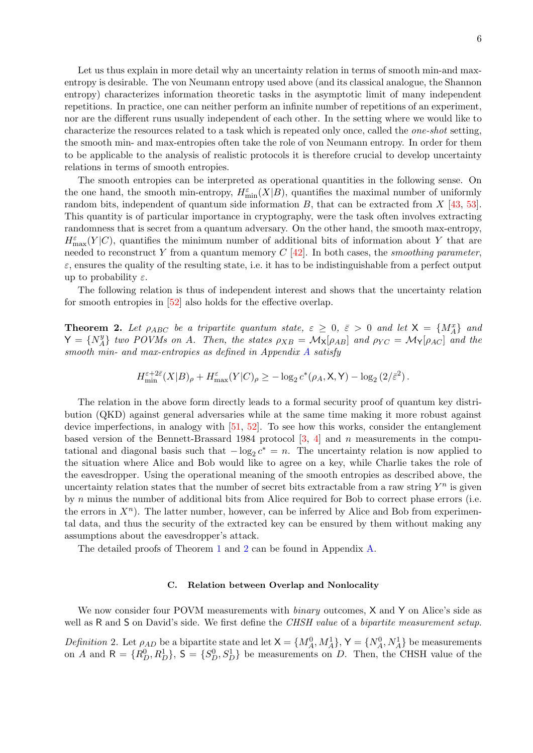Let us thus explain in more detail why an uncertainty relation in terms of smooth min-and maxentropy is desirable. The von Neumann entropy used above (and its classical analogue, the Shannon entropy) characterizes information theoretic tasks in the asymptotic limit of many independent repetitions. In practice, one can neither perform an infinite number of repetitions of an experiment, nor are the different runs usually independent of each other. In the setting where we would like to characterize the resources related to a task which is repeated only once, called the one-shot setting, the smooth min- and max-entropies often take the role of von Neumann entropy. In order for them to be applicable to the analysis of realistic protocols it is therefore crucial to develop uncertainty relations in terms of smooth entropies.

The smooth entropies can be interpreted as operational quantities in the following sense. On the one hand, the smooth min-entropy,  $H_{\min}^{\varepsilon}(X|B)$ , quantifies the maximal number of uniformly random bits, independent of quantum side information  $B$ , that can be extracted from  $X$  [\[43,](#page-10-14) [53\]](#page-10-17). This quantity is of particular importance in cryptography, were the task often involves extracting randomness that is secret from a quantum adversary. On the other hand, the smooth max-entropy,  $H_{\text{max}}^{\varepsilon}(Y|C)$ , quantifies the minimum number of additional bits of information about Y that are needed to reconstruct Y from a quantum memory  $C$  [\[42\]](#page-10-18). In both cases, the *smoothing parameter*,  $\varepsilon$ , ensures the quality of the resulting state, i.e. it has to be indistinguishable from a perfect output up to probability  $\varepsilon$ .

The following relation is thus of independent interest and shows that the uncertainty relation for smooth entropies in [\[52\]](#page-10-2) also holds for the effective overlap.

<span id="page-5-0"></span>**Theorem 2.** Let  $\rho_{ABC}$  be a tripartite quantum state,  $\varepsilon \geq 0$ ,  $\bar{\varepsilon} > 0$  and let  $X = \{M_A^x\}$  and  $Y = \{N_A^y\}$  ${}_{A}^{y}$ } two POVMs on A. Then, the states  $\rho_{XB} = \mathcal{M}_{\mathsf{X}}[\rho_{AB}]$  and  $\rho_{YC} = \mathcal{M}_{\mathsf{Y}}[\rho_{AC}]$  and the smooth min- and max-entropies as defined in [A](#page-12-0)ppendix A satisfy

$$
H_{\min}^{\varepsilon+2\bar{\varepsilon}}(X|B)_{\rho} + H_{\max}^{\varepsilon}(Y|C)_{\rho} \geq -\log_2 c^*(\rho_A, \mathsf{X}, \mathsf{Y}) - \log_2(2/\bar{\varepsilon}^2).
$$

The relation in the above form directly leads to a formal security proof of quantum key distribution (QKD) against general adversaries while at the same time making it more robust against device imperfections, in analogy with [\[51,](#page-10-3) [52\]](#page-10-2). To see how this works, consider the entanglement based version of the Bennett-Brassard 1984 protocol  $[3, 4]$  $[3, 4]$  and n measurements in the computational and diagonal basis such that  $-\log_2 c^* = n$ . The uncertainty relation is now applied to the situation where Alice and Bob would like to agree on a key, while Charlie takes the role of the eavesdropper. Using the operational meaning of the smooth entropies as described above, the uncertainty relation states that the number of secret bits extractable from a raw string  $Y^n$  is given by n minus the number of additional bits from Alice required for Bob to correct phase errors (i.e. the errors in  $X<sup>n</sup>$ ). The latter number, however, can be inferred by Alice and Bob from experimental data, and thus the security of the extracted key can be ensured by them without making any assumptions about the eavesdropper's attack.

The detailed proofs of Theorem [1](#page-4-0) and [2](#page-5-0) can be found in Appendix [A.](#page-12-0)

## C. Relation between Overlap and Nonlocality

We now consider four POVM measurements with *binary* outcomes, X and Y on Alice's side as well as R and S on David's side. We first define the *CHSH value* of a *bipartite measurement setup*.

Definition 2. Let  $\rho_{AD}$  be a bipartite state and let  $X = \{M_A^0, M_A^1\}$ ,  $Y = \{N_A^0, N_A^1\}$  be measurements on A and  $R = \{R_D^0, R_D^1\}$ ,  $S = \{S_D^0, S_D^1\}$  be measurements on D. Then, the CHSH value of the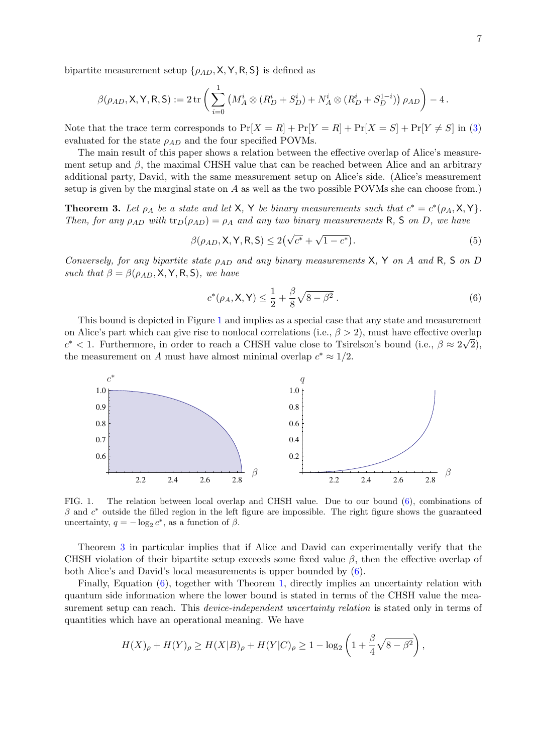bipartite measurement setup  $\{\rho_{AD}, \mathsf{X}, \mathsf{Y}, \mathsf{R}, \mathsf{S}\}$  is defined as

$$
\beta(\rho_{AD}, \mathsf{X}, \mathsf{Y}, \mathsf{R}, \mathsf{S}) := 2 \operatorname{tr} \left( \sum_{i=0}^{1} \left( M_A^i \otimes (R_D^i + S_D^i) + N_A^i \otimes (R_D^i + S_D^{1-i}) \right) \rho_{AD} \right) - 4.
$$

Note that the trace term corresponds to  $Pr[X = R] + Pr[Y = R] + Pr[X = S] + Pr[Y \neq S]$  in [\(3\)](#page-1-2) evaluated for the state  $\rho_{AD}$  and the four specified POVMs.

The main result of this paper shows a relation between the effective overlap of Alice's measurement setup and  $\beta$ , the maximal CHSH value that can be reached between Alice and an arbitrary additional party, David, with the same measurement setup on Alice's side. (Alice's measurement setup is given by the marginal state on  $A$  as well as the two possible POVMs she can choose from.)

<span id="page-6-3"></span>**Theorem 3.** Let  $\rho_A$  be a state and let X, Y be binary measurements such that  $c^* = c^*(\rho_A, \mathsf{X}, \mathsf{Y})$ . Then, for any  $\rho_{AD}$  with  $\text{tr}_D(\rho_{AD}) = \rho_A$  and any two binary measurements R, S on D, we have

$$
\beta(\rho_{AD}, \mathsf{X}, \mathsf{Y}, \mathsf{R}, \mathsf{S}) \le 2(\sqrt{c^*} + \sqrt{1 - c^*}).\tag{5}
$$

Conversely, for any bipartite state  $\rho_{AD}$  and any binary measurements X, Y on A and R, S on D such that  $\beta = \beta(\rho_{AD}, \mathsf{X}, \mathsf{Y}, \mathsf{R}, \mathsf{S})$ , we have

<span id="page-6-2"></span><span id="page-6-0"></span>
$$
c^*(\rho_A, \mathsf{X}, \mathsf{Y}) \le \frac{1}{2} + \frac{\beta}{8}\sqrt{8 - \beta^2} \,. \tag{6}
$$

This bound is depicted in Figure [1](#page-6-1) and implies as a special case that any state and measurement on Alice's part which can give rise to nonlocal correlations (i.e.,  $\beta > 2$ ), must have effective overlap  $c^*$  < 1. Furthermore, in order to reach a CHSH value close to Tsirelson's bound (i.e.,  $\beta \approx 2\sqrt{2}$ ), the measurement on A must have almost minimal overlap  $c^* \approx 1/2$ .



<span id="page-6-1"></span>FIG. 1. The relation between local overlap and CHSH value. Due to our bound [\(6\)](#page-6-2), combinations of  $\beta$  and  $c^*$  outside the filled region in the left figure are impossible. The right figure shows the guaranteed uncertainty,  $q = -\log_2 c^*$ , as a function of  $\beta$ .

Theorem [3](#page-6-3) in particular implies that if Alice and David can experimentally verify that the CHSH violation of their bipartite setup exceeds some fixed value  $\beta$ , then the effective overlap of both Alice's and David's local measurements is upper bounded by [\(6\)](#page-6-2).

Finally, Equation [\(6\)](#page-6-2), together with Theorem [1,](#page-4-0) directly implies an uncertainty relation with quantum side information where the lower bound is stated in terms of the CHSH value the measurement setup can reach. This *device-independent uncertainty relation* is stated only in terms of quantities which have an operational meaning. We have

$$
H(X)_{\rho} + H(Y)_{\rho} \ge H(X|B)_{\rho} + H(Y|C)_{\rho} \ge 1 - \log_2\left(1 + \frac{\beta}{4}\sqrt{8 - \beta^2}\right),
$$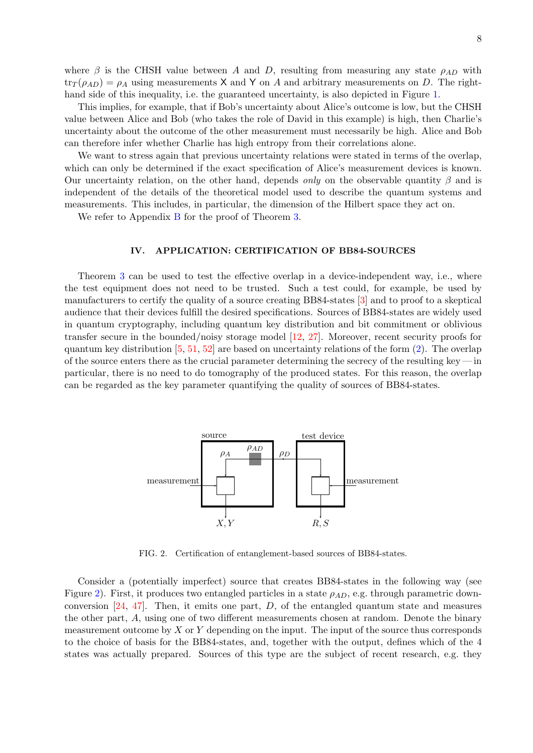where  $\beta$  is the CHSH value between A and D, resulting from measuring any state  $\rho_{AD}$  with  $\text{tr}_T(\rho_{AD}) = \rho_A$  using measurements X and Y on A and arbitrary measurements on D. The right-hand side of this inequality, i.e. the guaranteed uncertainty, is also depicted in Figure [1.](#page-6-1)

This implies, for example, that if Bob's uncertainty about Alice's outcome is low, but the CHSH value between Alice and Bob (who takes the role of David in this example) is high, then Charlie's uncertainty about the outcome of the other measurement must necessarily be high. Alice and Bob can therefore infer whether Charlie has high entropy from their correlations alone.

We want to stress again that previous uncertainty relations were stated in terms of the overlap, which can only be determined if the exact specification of Alice's measurement devices is known. Our uncertainty relation, on the other hand, depends *only* on the observable quantity  $\beta$  and is independent of the details of the theoretical model used to describe the quantum systems and measurements. This includes, in particular, the dimension of the Hilbert space they act on.

We refer to Appendix [B](#page-16-0) for the proof of Theorem [3.](#page-6-3)

# <span id="page-7-0"></span>IV. APPLICATION: CERTIFICATION OF BB84-SOURCES

Theorem [3](#page-6-3) can be used to test the effective overlap in a device-independent way, i.e., where the test equipment does not need to be trusted. Such a test could, for example, be used by manufacturers to certify the quality of a source creating BB84-states [\[3\]](#page-8-2) and to proof to a skeptical audience that their devices fulfill the desired specifications. Sources of BB84-states are widely used in quantum cryptography, including quantum key distribution and bit commitment or oblivious transfer secure in the bounded/noisy storage model [\[12,](#page-9-7) [27\]](#page-9-19). Moreover, recent security proofs for quantum key distribution [\[5,](#page-9-3) [51,](#page-10-3) [52\]](#page-10-2) are based on uncertainty relations of the form [\(2\)](#page-1-0). The overlap of the source enters there as the crucial parameter determining the secrecy of the resulting key  $-$  in particular, there is no need to do tomography of the produced states. For this reason, the overlap can be regarded as the key parameter quantifying the quality of sources of BB84-states.



<span id="page-7-1"></span>FIG. 2. Certification of entanglement-based sources of BB84-states.

Consider a (potentially imperfect) source that creates BB84-states in the following way (see Figure [2\)](#page-7-1). First, it produces two entangled particles in a state  $\rho_{AD}$ , e.g. through parametric downconversion  $[24, 47]$  $[24, 47]$ . Then, it emits one part, D, of the entangled quantum state and measures the other part, A, using one of two different measurements chosen at random. Denote the binary measurement outcome by  $X$  or  $Y$  depending on the input. The input of the source thus corresponds to the choice of basis for the BB84-states, and, together with the output, defines which of the 4 states was actually prepared. Sources of this type are the subject of recent research, e.g. they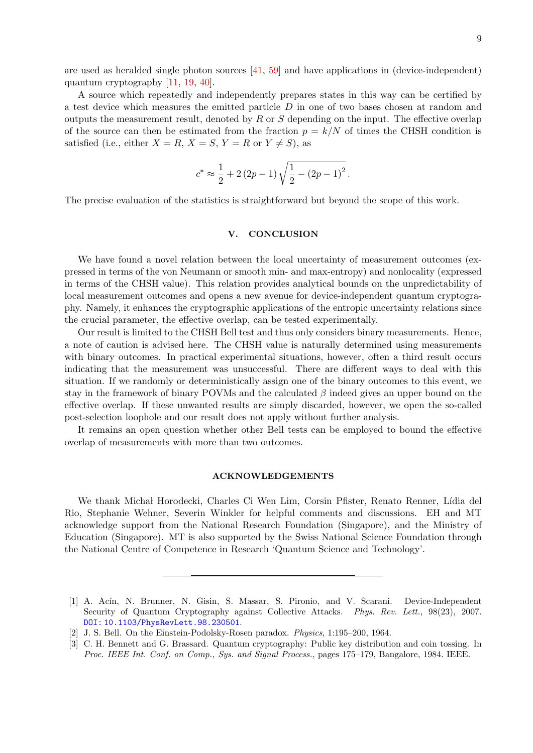are used as heralded single photon sources [\[41,](#page-10-20) [59\]](#page-11-0) and have applications in (device-independent) quantum cryptography [\[11,](#page-9-21) [19,](#page-9-22) [40\]](#page-10-21).

A source which repeatedly and independently prepares states in this way can be certified by a test device which measures the emitted particle D in one of two bases chosen at random and outputs the measurement result, denoted by  $R$  or  $S$  depending on the input. The effective overlap of the source can then be estimated from the fraction  $p = k/N$  of times the CHSH condition is satisfied (i.e., either  $X = R$ ,  $X = S$ ,  $Y = R$  or  $Y \neq S$ ), as

$$
c^* \approx \frac{1}{2} + 2(2p - 1)\sqrt{\frac{1}{2} - (2p - 1)^2}.
$$

The precise evaluation of the statistics is straightforward but beyond the scope of this work.

## V. CONCLUSION

We have found a novel relation between the local uncertainty of measurement outcomes (expressed in terms of the von Neumann or smooth min- and max-entropy) and nonlocality (expressed in terms of the CHSH value). This relation provides analytical bounds on the unpredictability of local measurement outcomes and opens a new avenue for device-independent quantum cryptography. Namely, it enhances the cryptographic applications of the entropic uncertainty relations since the crucial parameter, the effective overlap, can be tested experimentally.

Our result is limited to the CHSH Bell test and thus only considers binary measurements. Hence, a note of caution is advised here. The CHSH value is naturally determined using measurements with binary outcomes. In practical experimental situations, however, often a third result occurs indicating that the measurement was unsuccessful. There are different ways to deal with this situation. If we randomly or deterministically assign one of the binary outcomes to this event, we stay in the framework of binary POVMs and the calculated  $\beta$  indeed gives an upper bound on the effective overlap. If these unwanted results are simply discarded, however, we open the so-called post-selection loophole and our result does not apply without further analysis.

It remains an open question whether other Bell tests can be employed to bound the effective overlap of measurements with more than two outcomes.

## ACKNOWLEDGEMENTS

We thank Michał Horodecki, Charles Ci Wen Lim, Corsin Pfister, Renato Renner, Lídia del Rio, Stephanie Wehner, Severin Winkler for helpful comments and discussions. EH and MT acknowledge support from the National Research Foundation (Singapore), and the Ministry of Education (Singapore). MT is also supported by the Swiss National Science Foundation through the National Centre of Competence in Research 'Quantum Science and Technology'.

<span id="page-8-1"></span><sup>[1]</sup> A. Acín, N. Brunner, N. Gisin, S. Massar, S. Pironio, and V. Scarani. Device-Independent Security of Quantum Cryptography against Collective Attacks. Phys. Rev. Lett., 98(23), 2007. [DOI: 10.1103/PhysRevLett.98.230501](http://dx.doi.org/10.1103/PhysRevLett.98.230501).

<span id="page-8-0"></span><sup>[2]</sup> J. S. Bell. On the Einstein-Podolsky-Rosen paradox. Physics, 1:195–200, 1964.

<span id="page-8-2"></span><sup>[3]</sup> C. H. Bennett and G. Brassard. Quantum cryptography: Public key distribution and coin tossing. In Proc. IEEE Int. Conf. on Comp., Sys. and Signal Process., pages 175–179, Bangalore, 1984. IEEE.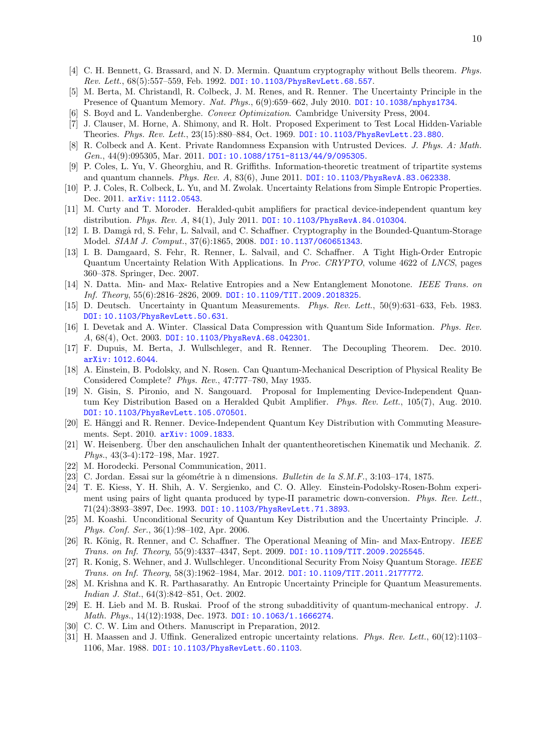- <span id="page-9-18"></span>[4] C. H. Bennett, G. Brassard, and N. D. Mermin. Quantum cryptography without Bells theorem. Phys. Rev. Lett., 68(5):557–559, Feb. 1992. [DOI: 10.1103/PhysRevLett.68.557](http://dx.doi.org/10.1103/PhysRevLett.68.557).
- <span id="page-9-3"></span>[5] M. Berta, M. Christandl, R. Colbeck, J. M. Renes, and R. Renner. The Uncertainty Principle in the Presence of Quantum Memory. Nat. Phys., 6(9):659–662, July 2010. [DOI: 10.1038/nphys1734](http://dx.doi.org/10.1038/nphys1734).
- <span id="page-9-26"></span>[6] S. Boyd and L. Vandenberghe. Convex Optimization. Cambridge University Press, 2004.
- <span id="page-9-12"></span>[7] J. Clauser, M. Horne, A. Shimony, and R. Holt. Proposed Experiment to Test Local Hidden-Variable Theories. Phys. Rev. Lett., 23(15):880–884, Oct. 1969. [DOI: 10.1103/PhysRevLett.23.880](http://dx.doi.org/10.1103/PhysRevLett.23.880).
- <span id="page-9-16"></span>[8] R. Colbeck and A. Kent. Private Randomness Expansion with Untrusted Devices. J. Phys. A: Math. Gen., 44(9):095305, Mar. 2011. [DOI: 10.1088/1751-8113/44/9/095305](http://dx.doi.org/10.1088/1751-8113/44/9/095305).
- <span id="page-9-4"></span>[9] P. Coles, L. Yu, V. Gheorghiu, and R. Griffiths. Information-theoretic treatment of tripartite systems and quantum channels. Phys. Rev. A, 83(6), June 2011. [DOI: 10.1103/PhysRevA.83.062338](http://dx.doi.org/10.1103/PhysRevA.83.062338).
- <span id="page-9-5"></span>[10] P. J. Coles, R. Colbeck, L. Yu, and M. Zwolak. Uncertainty Relations from Simple Entropic Properties. Dec. 2011. [arXiv: 1112.0543](http://arxiv.org/abs/1112.0543).
- <span id="page-9-21"></span>[11] M. Curty and T. Moroder. Heralded-qubit amplifiers for practical device-independent quantum key distribution. Phys. Rev. A, 84(1), July 2011. [DOI: 10.1103/PhysRevA.84.010304](http://dx.doi.org/10.1103/PhysRevA.84.010304).
- <span id="page-9-7"></span>[12] I. B. Damgå rd, S. Fehr, L. Salvail, and C. Schaffner. Cryptography in the Bounded-Quantum-Storage Model. SIAM J. Comput., 37(6):1865, 2008. [DOI: 10.1137/060651343](http://dx.doi.org/10.1137/060651343).
- <span id="page-9-8"></span>[13] I. B. Damgaard, S. Fehr, R. Renner, L. Salvail, and C. Schaffner. A Tight High-Order Entropic Quantum Uncertainty Relation With Applications. In Proc. CRYPTO, volume 4622 of LNCS, pages 360–378. Springer, Dec. 2007.
- <span id="page-9-25"></span>[14] N. Datta. Min- and Max- Relative Entropies and a New Entanglement Monotone. IEEE Trans. on Inf. Theory, 55(6):2816–2826, 2009. [DOI: 10.1109/TIT.2009.2018325](http://dx.doi.org/10.1109/TIT.2009.2018325).
- <span id="page-9-1"></span>[15] D. Deutsch. Uncertainty in Quantum Measurements. Phys. Rev. Lett., 50(9):631–633, Feb. 1983. [DOI: 10.1103/PhysRevLett.50.631](http://dx.doi.org/10.1103/PhysRevLett.50.631).
- <span id="page-9-10"></span>[16] I. Devetak and A. Winter. Classical Data Compression with Quantum Side Information. Phys. Rev. A, 68(4), Oct. 2003. [DOI: 10.1103/PhysRevA.68.042301](http://dx.doi.org/10.1103/PhysRevA.68.042301).
- <span id="page-9-23"></span>[17] F. Dupuis, M. Berta, J. Wullschleger, and R. Renner. The Decoupling Theorem. Dec. 2010. [arXiv: 1012.6044](http://arxiv.org/abs/1012.6044).
- <span id="page-9-11"></span>[18] A. Einstein, B. Podolsky, and N. Rosen. Can Quantum-Mechanical Description of Physical Reality Be Considered Complete? Phys. Rev., 47:777–780, May 1935.
- <span id="page-9-22"></span>[19] N. Gisin, S. Pironio, and N. Sangouard. Proposal for Implementing Device-Independent Quantum Key Distribution Based on a Heralded Qubit Amplifier. Phys. Rev. Lett., 105(7), Aug. 2010. [DOI: 10.1103/PhysRevLett.105.070501](http://dx.doi.org/10.1103/PhysRevLett.105.070501).
- <span id="page-9-15"></span>[20] E. Hänggi and R. Renner. Device-Independent Quantum Key Distribution with Commuting Measurements. Sept. 2010. [arXiv: 1009.1833](http://arxiv.org/abs/1009.1833).
- <span id="page-9-0"></span>[21] W. Heisenberg. Über den anschaulichen Inhalt der quantentheoretischen Kinematik und Mechanik. Z. Phys., 43(3-4):172–198, Mar. 1927.
- <span id="page-9-13"></span>[22] M. Horodecki. Personal Communication, 2011.
- <span id="page-9-27"></span>[23] C. Jordan. Essai sur la géométrie à n dimensions. Bulletin de la S.M.F., 3:103-174, 1875.
- <span id="page-9-20"></span>[24] T. E. Kiess, Y. H. Shih, A. V. Sergienko, and C. O. Alley. Einstein-Podolsky-Rosen-Bohm experiment using pairs of light quanta produced by type-II parametric down-conversion. Phys. Rev. Lett., 71(24):3893–3897, Dec. 1993. [DOI: 10.1103/PhysRevLett.71.3893](http://dx.doi.org/10.1103/PhysRevLett.71.3893).
- <span id="page-9-9"></span>[25] M. Koashi. Unconditional Security of Quantum Key Distribution and the Uncertainty Principle. J. Phys. Conf. Ser., 36(1):98–102, Apr. 2006.
- <span id="page-9-24"></span>[26] R. König, R. Renner, and C. Schaffner. The Operational Meaning of Min- and Max-Entropy. IEEE Trans. on Inf. Theory, 55(9):4337–4347, Sept. 2009. [DOI: 10.1109/TIT.2009.2025545](http://dx.doi.org/10.1109/TIT.2009.2025545).
- <span id="page-9-19"></span>[27] R. Konig, S. Wehner, and J. Wullschleger. Unconditional Security From Noisy Quantum Storage. IEEE Trans. on Inf. Theory, 58(3):1962–1984, Mar. 2012. [DOI: 10.1109/TIT.2011.2177772](http://dx.doi.org/10.1109/TIT.2011.2177772).
- <span id="page-9-17"></span>[28] M. Krishna and K. R. Parthasarathy. An Entropic Uncertainty Principle for Quantum Measurements. Indian J. Stat., 64(3):842–851, Oct. 2002.
- <span id="page-9-6"></span>[29] E. H. Lieb and M. B. Ruskai. Proof of the strong subadditivity of quantum-mechanical entropy. J. Math. Phys., 14(12):1938, Dec. 1973. [DOI: 10.1063/1.1666274](http://dx.doi.org/10.1063/1.1666274).
- <span id="page-9-14"></span>[30] C. C. W. Lim and Others. Manuscript in Preparation, 2012.
- <span id="page-9-2"></span>[31] H. Maassen and J. Uffink. Generalized entropic uncertainty relations. Phys. Rev. Lett., 60(12):1103– 1106, Mar. 1988. [DOI: 10.1103/PhysRevLett.60.1103](http://dx.doi.org/10.1103/PhysRevLett.60.1103).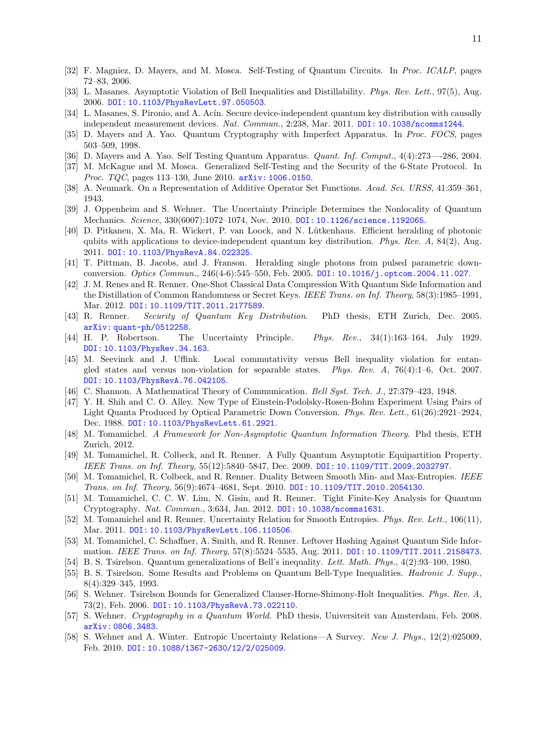- <span id="page-10-10"></span>[32] F. Magniez, D. Mayers, and M. Mosca. Self-Testing of Quantum Circuits. In Proc. ICALP, pages 72–83, 2006.
- <span id="page-10-26"></span>[33] L. Masanes. Asymptotic Violation of Bell Inequalities and Distillability. Phys. Rev. Lett., 97(5), Aug. 2006. [DOI: 10.1103/PhysRevLett.97.050503](http://dx.doi.org/10.1103/PhysRevLett.97.050503).
- <span id="page-10-11"></span>[34] L. Masanes, S. Pironio, and A. Acín. Secure device-independent quantum key distribution with causally independent measurement devices. Nat. Commun., 2:238, Mar. 2011. [DOI: 10.1038/ncomms1244](http://dx.doi.org/10.1038/ncomms1244).
- <span id="page-10-7"></span>[35] D. Mayers and A. Yao. Quantum Cryptography with Imperfect Apparatus. In Proc. FOCS, pages 503–509, 1998.
- <span id="page-10-8"></span>[36] D. Mayers and A. Yao. Self Testing Quantum Apparatus. Quant. Inf. Comput., 4(4):273—-286, 2004.
- <span id="page-10-12"></span>[37] M. McKague and M. Mosca. Generalized Self-Testing and the Security of the 6-State Protocol. In Proc. TQC, pages 113–130, June 2010. **[arXiv: 1006.0150](http://arxiv.org/abs/1006.0150).**
- <span id="page-10-13"></span>[38] A. Neumark. On a Representation of Additive Operator Set Functions. Acad. Sci. URSS, 41:359–361, 1943.
- <span id="page-10-9"></span>[39] J. Oppenheim and S. Wehner. The Uncertainty Principle Determines the Nonlocality of Quantum Mechanics. Science, 330(6007):1072–1074, Nov. 2010. [DOI: 10.1126/science.1192065](http://dx.doi.org/10.1126/science.1192065).
- <span id="page-10-21"></span>[40] D. Pitkanen, X. Ma, R. Wickert, P. van Loock, and N. Lütkenhaus. Efficient heralding of photonic qubits with applications to device-independent quantum key distribution. *Phys. Rev. A*,  $84(2)$ , Aug. 2011. [DOI: 10.1103/PhysRevA.84.022325](http://dx.doi.org/10.1103/PhysRevA.84.022325).
- <span id="page-10-20"></span>[41] T. Pittman, B. Jacobs, and J. Franson. Heralding single photons from pulsed parametric downconversion. Optics Commun., 246(4-6):545–550, Feb. 2005. [DOI: 10.1016/j.optcom.2004.11.027](http://dx.doi.org/10.1016/j.optcom.2004.11.027).
- <span id="page-10-18"></span>[42] J. M. Renes and R. Renner. One-Shot Classical Data Compression With Quantum Side Information and the Distillation of Common Randomness or Secret Keys. IEEE Trans. on Inf. Theory, 58(3):1985–1991, Mar. 2012. [DOI: 10.1109/TIT.2011.2177589](http://dx.doi.org/10.1109/TIT.2011.2177589).
- <span id="page-10-14"></span>[43] R. Renner. Security of Quantum Key Distribution. PhD thesis, ETH Zurich, Dec. 2005. [arXiv: quant-ph/0512258](http://arxiv.org/abs/quant-ph/0512258).
- <span id="page-10-0"></span>[44] H. P. Robertson. The Uncertainty Principle. Phys. Rev., 34(1):163–164, July 1929. [DOI: 10.1103/PhysRev.34.163](http://dx.doi.org/10.1103/PhysRev.34.163).
- <span id="page-10-6"></span>[45] M. Seevinck and J. Uffink. Local commutativity versus Bell inequality violation for entangled states and versus non-violation for separable states. *Phys. Rev. A*,  $76(4):1-6$ , Oct. 2007. [DOI: 10.1103/PhysRevA.76.042105](http://dx.doi.org/10.1103/PhysRevA.76.042105).
- <span id="page-10-4"></span>[46] C. Shannon. A Mathematical Theory of Communication. Bell Syst. Tech. J., 27:379–423, 1948.
- <span id="page-10-19"></span>[47] Y. H. Shih and C. O. Alley. New Type of Einstein-Podolsky-Rosen-Bohm Experiment Using Pairs of Light Quanta Produced by Optical Parametric Down Conversion. Phys. Rev. Lett., 61(26):2921–2924, Dec. 1988. [DOI: 10.1103/PhysRevLett.61.2921](http://dx.doi.org/10.1103/PhysRevLett.61.2921).
- <span id="page-10-15"></span>[48] M. Tomamichel. A Framework for Non-Asymptotic Quantum Information Theory. Phd thesis, ETH Zurich, 2012.
- <span id="page-10-22"></span>[49] M. Tomamichel, R. Colbeck, and R. Renner. A Fully Quantum Asymptotic Equipartition Property. IEEE Trans. on Inf. Theory, 55(12):5840–5847, Dec. 2009. [DOI: 10.1109/TIT.2009.2032797](http://dx.doi.org/10.1109/TIT.2009.2032797).
- <span id="page-10-16"></span>[50] M. Tomamichel, R. Colbeck, and R. Renner. Duality Between Smooth Min- and Max-Entropies. IEEE Trans. on Inf. Theory, 56(9):4674–4681, Sept. 2010. [DOI: 10.1109/TIT.2010.2054130](http://dx.doi.org/10.1109/TIT.2010.2054130).
- <span id="page-10-3"></span>[51] M. Tomamichel, C. C. W. Lim, N. Gisin, and R. Renner. Tight Finite-Key Analysis for Quantum Cryptography. Nat. Commun., 3:634, Jan. 2012. [DOI: 10.1038/ncomms1631](http://dx.doi.org/10.1038/ncomms1631).
- <span id="page-10-2"></span>[52] M. Tomamichel and R. Renner. Uncertainty Relation for Smooth Entropies. Phys. Rev. Lett., 106(11), Mar. 2011. [DOI: 10.1103/PhysRevLett.106.110506](http://dx.doi.org/10.1103/PhysRevLett.106.110506).
- <span id="page-10-17"></span>[53] M. Tomamichel, C. Schaffner, A. Smith, and R. Renner. Leftover Hashing Against Quantum Side Information. IEEE Trans. on Inf. Theory, 57(8):5524–5535, Aug. 2011. [DOI: 10.1109/TIT.2011.2158473](http://dx.doi.org/10.1109/TIT.2011.2158473).
- <span id="page-10-5"></span>[54] B. S. Tsirelson. Quantum generalizations of Bell's inequality. Lett. Math. Phys., 4(2):93–100, 1980.
- <span id="page-10-24"></span>[55] B. S. Tsirelson. Some Results and Problems on Quantum Bell-Type Inequalities. *Hadronic J. Supp.*, 8(4):329–345, 1993.
- <span id="page-10-23"></span>[56] S. Wehner. Tsirelson Bounds for Generalized Clauser-Horne-Shimony-Holt Inequalities. Phys. Rev. A, 73(2), Feb. 2006. [DOI: 10.1103/PhysRevA.73.022110](http://dx.doi.org/10.1103/PhysRevA.73.022110).
- <span id="page-10-25"></span>[57] S. Wehner. Cryptography in a Quantum World. PhD thesis, Universiteit van Amsterdam, Feb. 2008. [arXiv: 0806.3483](http://arxiv.org/abs/0806.3483).
- <span id="page-10-1"></span>[58] S. Wehner and A. Winter. Entropic Uncertainty Relations—A Survey. New J. Phys., 12(2):025009, Feb. 2010. [DOI: 10.1088/1367-2630/12/2/025009](http://dx.doi.org/10.1088/1367-2630/12/2/025009).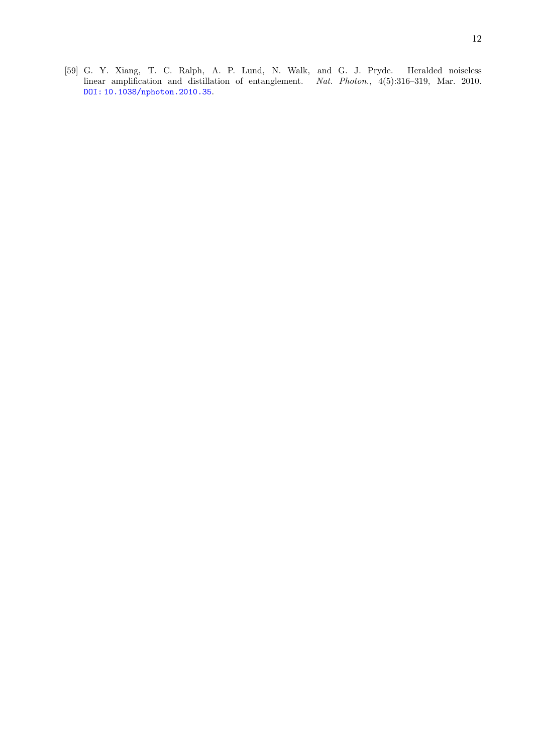<span id="page-11-0"></span>[59] G. Y. Xiang, T. C. Ralph, A. P. Lund, N. Walk, and G. J. Pryde. Heralded noiseless linear amplification and distillation of entanglement. Nat. Photon., 4(5):316-319, Mar. 2010. [DOI: 10.1038/nphoton.2010.35](http://dx.doi.org/10.1038/nphoton.2010.35).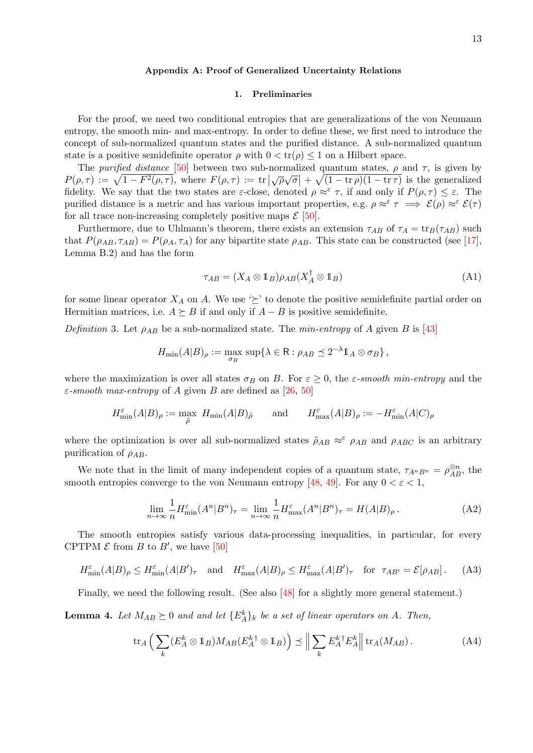## <span id="page-12-0"></span>Appendix A: Proof of Generalized Uncertainty Relations

## 1. Preliminaries

For the proof, we need two conditional entropies that are generalizations of the von Neumann entropy, the smooth min- and max-entropy. In order to define these, we first need to introduce the concept of sub-normalized quantum states and the purified distance. A sub-normalized quantum state is a positive semidefinite operator  $\rho$  with  $0 < tr(\rho) \leq 1$  on a Hilbert space.

The purified distance [\[50\]](#page-10-16) between two sub-normalized quantum states,  $\rho$  and  $\tau$ , is given by The *parqued assume* [50] between two sub-horm.<br>  $P(\rho,\tau) := \sqrt{1 - F^2(\rho,\tau)}$ , where  $F(\rho,\tau) := \text{tr} \left| \sqrt{\rho} \sqrt{\rho} \right|$  $\overline{\sigma}$  +  $\sqrt{(1 - \text{tr} \rho)(1 - \text{tr} \tau)}$  is the generalized fidelity. We say that the two states are  $\varepsilon$ -close, denoted  $\rho \approx^{\varepsilon} \tau$ , if and only if  $P(\rho, \tau) \leq \varepsilon$ . The purified distance is a metric and has various important properties, e.g.  $\rho \approx^{\varepsilon} \tau \implies \mathcal{E}(\rho) \approx^{\varepsilon} \mathcal{E}(\tau)$ for all trace non-increasing completely positive maps  $\mathcal{E}$  [\[50\]](#page-10-16).

Furthermore, due to Uhlmann's theorem, there exists an extension  $\tau_{AB}$  of  $\tau_A = \text{tr}_B(\tau_{AB})$  such that  $P(\rho_{AB}, \tau_{AB}) = P(\rho_A, \tau_A)$  for any bipartite state  $\rho_{AB}$ . This state can be constructed (see [\[17\]](#page-9-23), Lemma B.2) and has the form

<span id="page-12-1"></span>
$$
\tau_{AB} = (X_A \otimes \mathbb{1}_B)\rho_{AB}(X_A^{\dagger} \otimes \mathbb{1}_B) \tag{A1}
$$

for some linear operator  $X_A$  on A. We use  $\geq$  to denote the positive semidefinite partial order on Hermitian matrices, i.e.  $A \succeq B$  if and only if  $A - B$  is positive semidefinite.

Definition 3. Let  $\rho_{AB}$  be a sub-normalized state. The min-entropy of A given B is [\[43\]](#page-10-14)

$$
H_{\min}(A|B)_{\rho} := \max_{\sigma_B} \, \sup \{ \lambda \in \mathsf{R} : \rho_{AB} \preceq 2^{-\lambda} \mathbb{1}_A \otimes \sigma_B \},
$$

where the maximization is over all states  $\sigma_B$  on B. For  $\varepsilon \geq 0$ , the  $\varepsilon$ -smooth min-entropy and the  $\varepsilon$ -smooth max-entropy of A given B are defined as [\[26,](#page-9-24) [50\]](#page-10-16)

$$
H_{\min}^{\varepsilon}(A|B)_{\rho}:=\max_{\tilde{\rho}} \ H_{\min}(A|B)_{\tilde{\rho}} \qquad \text{and} \qquad H_{\max}^{\varepsilon}(A|B)_{\rho}:=-H_{\min}^{\varepsilon}(A|C)_{\rho}
$$

where the optimization is over all sub-normalized states  $\rho_{AB} \approx^{\varepsilon} \rho_{AB}$  and  $\rho_{ABC}$  is an arbitrary purification of  $\rho_{AB}$ .

We note that in the limit of many independent copies of a quantum state,  $\tau_{A^nB^n} = \rho_{AB}^{\otimes n}$ , the smooth entropies converge to the von Neumann entropy [\[48,](#page-10-15) [49\]](#page-10-22). For any  $0 < \varepsilon < 1$ ,

<span id="page-12-4"></span><span id="page-12-2"></span>
$$
\lim_{n \to \infty} \frac{1}{n} H_{\min}^{\varepsilon}(A^n | B^n)_{\tau} = \lim_{n \to \infty} \frac{1}{n} H_{\max}^{\varepsilon}(A^n | B^n)_{\tau} = H(A|B)_{\rho}.
$$
 (A2)

The smooth entropies satisfy various data-processing inequalities, in particular, for every CPTPM  $\mathcal E$  from  $B$  to  $B'$ , we have [\[50\]](#page-10-16)

$$
H_{\min}^{\varepsilon}(A|B)_{\rho} \le H_{\min}^{\varepsilon}(A|B')_{\tau} \quad \text{and} \quad H_{\max}^{\varepsilon}(A|B)_{\rho} \le H_{\max}^{\varepsilon}(A|B')_{\tau} \quad \text{for} \quad \tau_{AB'} = \mathcal{E}[\rho_{AB}]. \tag{A3}
$$

Finally, we need the following result. (See also [\[48\]](#page-10-15) for a slightly more general statement.)

<span id="page-12-3"></span>**Lemma 4.** Let  $M_{AB} \succeq 0$  and and let  $\{E_A^k\}_k$  be a set of linear operators on A. Then,

$$
\operatorname{tr}_A\left(\sum_k (E_A^k \otimes \mathbb{1}_B)M_{AB}(E_A^k{}^{\dagger} \otimes \mathbb{1}_B)\right) \preceq \Big\|\sum_k E_A^k{}^{\dagger} E_A^k\Big\| \operatorname{tr}_A(M_{AB}).\tag{A4}
$$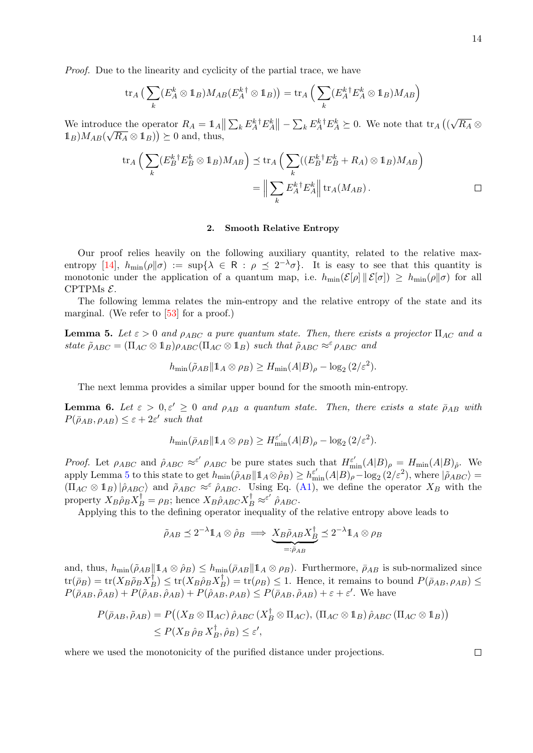Proof. Due to the linearity and cyclicity of the partial trace, we have

$$
\operatorname{tr}_A\big(\sum_k (E_A^k \otimes 1_B)M_{AB}(E_A^{k\dagger} \otimes 1_B)\big) = \operatorname{tr}_A\Big(\sum_k (E_A^k{}^{\dagger} E_A^k \otimes 1_B)M_{AB}\Big)
$$

We introduce the operator  $R_A = \mathbb{1}_A \|\sum_k E_A^k{}^{\dagger} E_A^k \| - \sum_k E_A^k{}^{\dagger} E_A^k \succeq 0$ . We note that  $\text{tr}_A$  (( √ luce the operator  $R_A = \mathbb{1}_A || \sum_k E_A^k^{\dagger} E_A^k || - \sum_k E_A^k^{\dagger} E_A^k \succeq 0$ . We note that  $\text{tr}_A ((\sqrt{R_A} \otimes$  $\mathbb{1}_B$ ) $M_{AB}(\sqrt{R_A} \otimes \mathbb{1}_B)) \succeq 0$  and, thus,

$$
\operatorname{tr}_A \Big( \sum_k (E_B^k{}^\dagger E_B^k \otimes \mathbb{1}_B) M_{AB} \Big) \preceq \operatorname{tr}_A \Big( \sum_k ((E_B^k{}^\dagger E_B^k + R_A) \otimes \mathbb{1}_B) M_{AB} \Big)
$$
  

$$
= \Big\| \sum_k E_A^k{}^\dagger E_A^k \Big\| \operatorname{tr}_A(M_{AB}).
$$

## 2. Smooth Relative Entropy

Our proof relies heavily on the following auxiliary quantity, related to the relative max-entropy [\[14\]](#page-9-25),  $h_{\min}(\rho||\sigma) := \sup\{\lambda \in \mathbb{R} : \rho \leq 2^{-\lambda}\sigma\}$ . It is easy to see that this quantity is monotonic under the application of a quantum map, i.e.  $h_{\min}(\mathcal{E}[\rho] \| \mathcal{E}[\sigma]) \geq h_{\min}(\rho \| \sigma)$  for all CPTPMs  $\mathcal{E}$ .

The following lemma relates the min-entropy and the relative entropy of the state and its marginal. (We refer to [\[53\]](#page-10-17) for a proof.)

<span id="page-13-0"></span>**Lemma 5.** Let  $\varepsilon > 0$  and  $\rho_{ABC}$  a pure quantum state. Then, there exists a projector  $\Pi_{AC}$  and a state  $\tilde{\rho}_{ABC} = (\Pi_{AC} \otimes \mathbb{1}_B) \rho_{ABC} (\Pi_{AC} \otimes \mathbb{1}_B)$  such that  $\tilde{\rho}_{ABC} \approx^{\varepsilon} \rho_{ABC}$  and

$$
h_{\min}(\tilde{\rho}_{AB} \| 1_A \otimes \rho_B) \ge H_{\min}(A|B)_{\rho} - \log_2(2/\varepsilon^2).
$$

The next lemma provides a similar upper bound for the smooth min-entropy.

<span id="page-13-1"></span>**Lemma 6.** Let  $\varepsilon > 0, \varepsilon' \geq 0$  and  $\rho_{AB}$  a quantum state. Then, there exists a state  $\bar{\rho}_{AB}$  with  $P(\bar{\rho}_{AB}, \rho_{AB}) \leq \varepsilon + 2\varepsilon'$  such that

$$
h_{\min}(\bar{\rho}_{AB} \| 1_A \otimes \rho_B) \ge H_{\min}^{\varepsilon'}(A|B)_{\rho} - \log_2(2/\varepsilon^2).
$$

*Proof.* Let  $\rho_{ABC}$  and  $\rho_{ABC} \approx^{\varepsilon'} \rho_{ABC}$  be pure states such that  $H_{\min}^{\varepsilon'}(A|B)_{\rho} = H_{\min}(A|B)_{\rho}$ . We apply Lemma [5](#page-13-0) to this state to get  $h_{\min}(\tilde{\rho}_{AB}||1_A \otimes \hat{\rho}_B) \geq h_{\min}^{\varepsilon'}(A|B)_{\rho} - \log_2(2/\varepsilon^2)$ , where  $|\tilde{\rho}_{ABC}\rangle =$  $(\Pi_{AC} \otimes \mathbb{1}_B)|\hat{\rho}_{ABC}$  and  $\tilde{\rho}_{ABC} \approx^{\varepsilon} \hat{\rho}_{ABC}$ . Using Eq. [\(A1\)](#page-12-1), we define the operator  $X_B$  with the property  $X_B \hat{\rho}_B X_B^{\dagger} = \rho_B$ ; hence  $X_B \hat{\rho}_{ABC} X_B^{\dagger} \approx^{\varepsilon'} \hat{\rho}_{ABC}$ .

Applying this to the defining operator inequality of the relative entropy above leads to

$$
\tilde{\rho}_{AB} \preceq 2^{-\lambda} \mathbb{1}_A \otimes \hat{\rho}_B \implies \underbrace{X_B \tilde{\rho}_{AB} X_B^{\dagger}}_{=: \tilde{\rho}_{AB}} \preceq 2^{-\lambda} \mathbb{1}_A \otimes \rho_B
$$

and, thus,  $h_{\min}(\tilde{\rho}_{AB}||1_A \otimes \hat{\rho}_B) \leq h_{\min}(\bar{\rho}_{AB}||1_A \otimes \rho_B)$ . Furthermore,  $\bar{\rho}_{AB}$  is sub-normalized since  $\text{tr}(\bar{\rho}_B) = \text{tr}(X_B \tilde{\rho}_B X_B^{\dagger}) \leq \text{tr}(X_B \hat{\rho}_B X_B^{\dagger}) = \text{tr}(\rho_B) \leq 1.$  Hence, it remains to bound  $P(\bar{\rho}_{AB}, \rho_{AB}) \leq$  $P(\bar{\rho}_{AB}, \tilde{\rho}_{AB}) + P(\tilde{\rho}_{AB}, \hat{\rho}_{AB}) + P(\hat{\rho}_{AB}, \rho_{AB}) \leq P(\bar{\rho}_{AB}, \tilde{\rho}_{AB}) + \varepsilon + \varepsilon'$ . We have

$$
P(\bar{\rho}_{AB}, \tilde{\rho}_{AB}) = P((X_B \otimes \Pi_{AC}) \hat{\rho}_{ABC} (X_B^{\dagger} \otimes \Pi_{AC}), (\Pi_{AC} \otimes \mathbb{1}_B) \hat{\rho}_{ABC} (\Pi_{AC} \otimes \mathbb{1}_B))
$$
  
 
$$
\leq P(X_B \hat{\rho}_B X_B^{\dagger}, \hat{\rho}_B) \leq \varepsilon',
$$

where we used the monotonicity of the purified distance under projections.

 $\Box$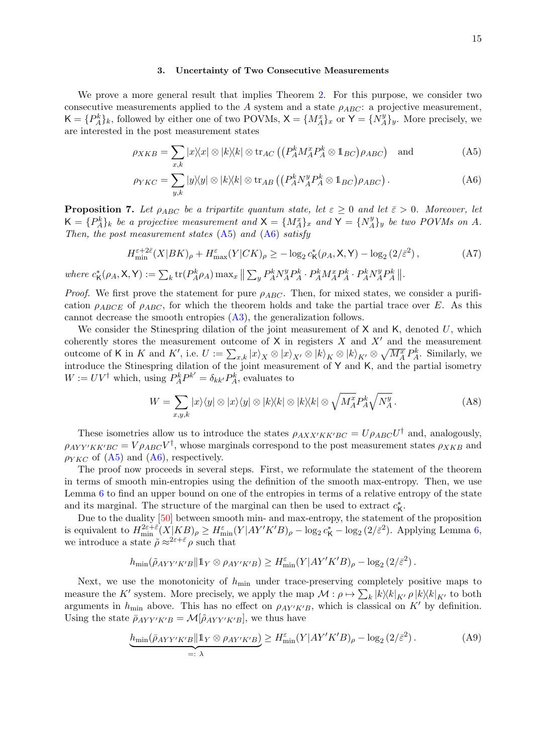## <span id="page-14-1"></span><span id="page-14-0"></span>3. Uncertainty of Two Consecutive Measurements

We prove a more general result that implies Theorem [2.](#page-5-0) For this purpose, we consider two consecutive measurements applied to the A system and a state  $\rho_{ABC}$ : a projective measurement,  $\mathsf{K} = \{P_A^k\}_k$ , followed by either one of two POVMs,  $\mathsf{X} = \{M_A^x\}_x$  or  $\mathsf{Y} = \{N_A^y\}$  $\{A\}$ y. More precisely, we are interested in the post measurement states

$$
\rho_{XKB} = \sum_{x,k} |x\rangle\langle x| \otimes |k\rangle\langle k| \otimes \text{tr}_{AC} \left( \left( P_A^k M_A^x P_A^k \otimes \mathbb{1}_{BC} \right) \rho_{ABC} \right) \text{ and } \tag{A5}
$$

$$
\rho_{YKC} = \sum_{y,k} |y\rangle\langle y| \otimes |k\rangle\langle k| \otimes \text{tr}_{AB} \left( \left( P_A^k N_A^y P_A^k \otimes \mathbb{1}_{BC} \right) \rho_{ABC} \right). \tag{A6}
$$

<span id="page-14-2"></span>**Proposition 7.** Let  $\rho_{ABC}$  be a tripartite quantum state, let  $\varepsilon \geq 0$  and let  $\bar{\varepsilon} > 0$ . Moreover, let  $\mathsf{K} = \{P_A^k\}_k$  be a projective measurement and  $\mathsf{X} = \{M_A^x\}_x$  and  $\mathsf{Y} = \{N_A^y\}$  $\{A\}$ y be two POVMs on A. Then, the post measurement states  $(A5)$  and  $(A6)$  satisfy

$$
H_{\min}^{\varepsilon+2\bar{\varepsilon}}(X|BK)_{\rho} + H_{\max}^{\varepsilon}(Y|CK)_{\rho} \ge -\log_2 c_K^*(\rho_A, X, Y) - \log_2(2/\bar{\varepsilon}^2),
$$
(A7)  

$$
X(X) = \sum_{\mu} t_{\mu}(B_{K,\mu}^k)_{\text{max}} + \sum_{\mu} B_{K}^{k} N_{\mu}^{\mu} B_{K,\mu}^k B_{K}^{k} N_{\mu}^{\mu} B_{K}^{\mu}
$$

where  $c^*_{\mathsf{K}}(\rho_A, \mathsf{X}, \mathsf{Y}) := \sum_k \text{tr}(P_A^k \rho_A) \max_x \left\| \sum_y P_A^k N_A^y P_A^k \cdot P_A^k M_A^x P_A^k \cdot P_A^k N_A^y P_A^k \right\|$ .

*Proof.* We first prove the statement for pure  $\rho_{ABC}$ . Then, for mixed states, we consider a purification  $\rho_{ABCE}$  of  $\rho_{ABC}$ , for which the theorem holds and take the partial trace over E. As this cannot decrease the smooth entropies [\(A3\)](#page-12-2), the generalization follows.

We consider the Stinespring dilation of the joint measurement of  $X$  and  $K$ , denoted  $U$ , which coherently stores the measurement outcome of  $X$  in registers  $X$  and  $X'$  and the measurement outcome of K in K and K', i.e.  $U := \sum_{x,k} |x\rangle_X \otimes |x\rangle_{X'} \otimes |k\rangle_K \otimes |k\rangle_{K'} \otimes \sqrt{M_A^x} P_A^k$ . Similarly, we introduce the Stinespring dilation of the joint measurement of Y and K, and the partial isometry  $W := UV^{\dagger}$  which, using  $P_A^k P^{k'} = \delta_{kk'} P_A^k$ , evaluates to

$$
W = \sum_{x,y,k} |x\rangle\langle y| \otimes |x\rangle\langle y| \otimes |k\rangle\langle k| \otimes |k\rangle\langle k| \otimes \sqrt{M_A^x} P_A^k \sqrt{N_A^y} \,. \tag{A8}
$$

These isometries allow us to introduce the states  $\rho_{AXX'KK'BC} = U \rho_{ABC} U^{\dagger}$  and, analogously,  $\rho_{AYY'KK'BC} = V \rho_{ABC} V^{\dagger}$ , whose marginals correspond to the post measurement states  $\rho_{XKB}$  and  $\rho_{YKC}$  of [\(A5\)](#page-14-0) and [\(A6\)](#page-14-1), respectively.

The proof now proceeds in several steps. First, we reformulate the statement of the theorem in terms of smooth min-entropies using the definition of the smooth max-entropy. Then, we use Lemma [6](#page-13-1) to find an upper bound on one of the entropies in terms of a relative entropy of the state and its marginal. The structure of the marginal can then be used to extract  $c^*_{\mathsf{K}}$ .

Due to the duality [\[50\]](#page-10-16) between smooth min- and max-entropy, the statement of the proposition is equivalent to  $H_{\min}^{2\varepsilon+\bar{\varepsilon}}(X|KB)_{\rho} \geq H_{\min}^{\varepsilon}(Y|AY'K'B)_{\rho} - \log_2 c_K^* - \log_2(2/\bar{\varepsilon}^2)$ . Applying Lemma [6,](#page-13-1) we introduce a state  $\tilde{\rho} \approx^{2\varepsilon + \bar{\varepsilon}} \rho$  such that

$$
h_{\min}(\tilde{\rho}_{AYY'K'B} \| 1_Y \otimes \rho_{AY'K'B}) \geq H_{\min}^{\varepsilon}(Y|AY'K'B)_{\rho} - \log_2(2/\bar{\varepsilon}^2).
$$

Next, we use the monotonicity of  $h_{\text{min}}$  under trace-preserving completely positive maps to measure the K' system. More precisely, we apply the map  $\mathcal{M}: \rho \mapsto \sum_k |k\rangle\langle k|_{K'} \rho |k\rangle\langle k|_{K'}$  to both arguments in  $h_{\text{min}}$  above. This has no effect on  $\rho_{AY'K'B}$ , which is classical on K' by definition. Using the state  $\bar{\rho}_{AYY'K'B} = \mathcal{M}[\tilde{\rho}_{AYY'K'B}],$  we thus have

$$
\underbrace{h_{\min}(\bar{\rho}_{AYY'K'B}||1_{Y}\otimes\rho_{AY'K'B})}_{=: \lambda} \geq H_{\min}^{\varepsilon}(Y|AY'K'B)_{\rho} - \log_2(2/\bar{\varepsilon}^2). \tag{A9}
$$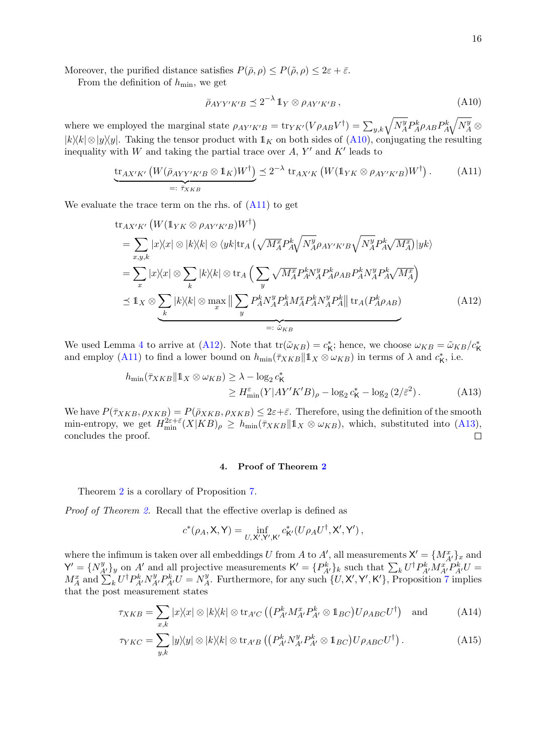Moreover, the purified distance satisfies  $P(\bar{\rho}, \rho) \leq P(\tilde{\rho}, \rho) \leq 2\varepsilon + \bar{\varepsilon}$ .

From the definition of  $h_{\min}$ , we get

<span id="page-15-1"></span><span id="page-15-0"></span>
$$
\bar{\rho}_{AYY'K'B} \preceq 2^{-\lambda} \mathbb{1}_Y \otimes \rho_{AY'K'B} , \qquad (A10)
$$

where we employed the marginal state  $\rho_{AY'K'B} = \text{tr}_{YK'}(V\rho_{AB}V^{\dagger}) = \sum_{y,k} \sqrt{N_A^y} P_A^k \rho_{AB} P_A^k \sqrt{N_A^y} \otimes$  $|k\rangle\langle k| \otimes |y\rangle\langle y|$ . Taking the tensor product with  $\mathbb{1}_K$  on both sides of  $(A10)$ , conjugating the resulting inequality with W and taking the partial trace over  $A, Y'$  and  $K'$  leads to

$$
\underbrace{\operatorname{tr}_{AX'K'}\left(W(\bar{\rho}_{AYY'K'B}\otimes \mathbb{1}_K)W^{\dagger}\right)}_{=: \bar{\tau}_{XKB}} \preceq 2^{-\lambda} \operatorname{tr}_{AX'K}\left(W(\mathbb{1}_{YK}\otimes \rho_{AY'K'B})W^{\dagger}\right). \tag{A11}
$$

We evaluate the trace term on the rhs. of  $(A11)$  to get

$$
\text{tr}_{AX'K'}\left(W(\mathbb{1}_{YK}\otimes\rho_{AY'K'B})W^{\dagger}\right)
$$
\n
$$
= \sum_{x,y,k} |x\rangle\langle x| \otimes |k\rangle\langle k| \otimes \langle yk| \text{tr}_A\left(\sqrt{M_A^x} P_A^k \sqrt{N_A^y} \rho_{AY'K'B} \sqrt{N_A^y} P_A^k \sqrt{M_A^x}\right) |yk\rangle
$$
\n
$$
= \sum_x |x\rangle\langle x| \otimes \sum_k |k\rangle\langle k| \otimes \text{tr}_A\left(\sum_y \sqrt{M_A^x} P_A^k N_A^y P_A^k \rho_{AB} P_A^k N_A^y P_A^k \sqrt{M_A^x}\right)
$$
\n
$$
\leq \mathbb{1}_X \otimes \sum_k |k\rangle\langle k| \otimes \max_x \|\sum_y P_A^k N_A^y P_A^k M_A^x P_A^k N_A^y P_A^k\| \text{tr}_A(P_A^k \rho_{AB})
$$
\n
$$
=:\widetilde{\omega}_{KB}
$$
\n(A12)

We used Lemma [4](#page-12-3) to arrive at [\(A12\)](#page-15-2). Note that  $tr(\tilde{\omega}_{KB}) = c_K^*$ ; hence, we choose  $\omega_{KB} = \tilde{\omega}_{KB}/c_K^*$ and employ [\(A11\)](#page-15-1) to find a lower bound on  $h_{\min}(\bar{\tau}_{XKB} || \mathbb{1}_X \otimes \omega_{KB})$  in terms of  $\lambda$  and  $c_K^*$ , i.e.

$$
h_{\min}(\bar{\tau}_{XKB}||1_X \otimes \omega_{KB}) \ge \lambda - \log_2 c_K^*
$$
  
\n
$$
\ge H_{\min}^{\varepsilon}(Y|AY'K'B)_{\rho} - \log_2 c_K^* - \log_2(2/\bar{\varepsilon}^2).
$$
 (A13)

We have  $P(\bar{\tau}_{XKB}, \rho_{XKB}) = P(\bar{\rho}_{XKB}, \rho_{XKB}) \leq 2\varepsilon + \bar{\varepsilon}$ . Therefore, using the definition of the smooth min-entropy, we get  $H_{\min}^{2\varepsilon+\bar{\varepsilon}}(X|KB)_{\rho} \geq h_{\min}(\bar{\tau}_{XKB}||1_X \otimes \omega_{KB}),$  which, substituted into [\(A13\)](#page-15-3), concludes the proof.  $\Box$ 

# <span id="page-15-5"></span><span id="page-15-4"></span><span id="page-15-3"></span><span id="page-15-2"></span>4. Proof of Theorem [2](#page-5-0)

Theorem [2](#page-5-0) is a corollary of Proposition [7.](#page-14-2)

Proof of Theorem [2.](#page-5-0) Recall that the effective overlap is defined as

$$
c^*(\rho_A, \mathsf{X}, \mathsf{Y}) = \inf_{U, \mathsf{X}', \mathsf{Y}', \mathsf{K}'} c^*_{\mathsf{K}'}(U\rho_A U^\dagger, \mathsf{X}', \mathsf{Y}'),
$$

where the infimum is taken over all embeddings U from A to A', all measurements  $X' = \{M_{A'}^x\}_x$  and  $\mathsf{Y}' = \{N_{A'}^y\}_y$  on A' and all projective measurements  $\mathsf{K}' = \{P_{A'}^k\}_k$  such that  $\sum_k U^{\dagger} P_{A'}^k M_{A'}^T P_{A'}^k U =$  $M_A^x$  and  $\sum_k U^{\dagger} P_{A'}^k N_{A'}^y P_{A'}^k U = N_A^y$  $\mathcal{H}$ . Furthermore, for any such  $\{U, \mathsf{X}', \mathsf{Y}', \mathsf{K}'\}$ , Proposition [7](#page-14-2) implies that the post measurement states

$$
\tau_{XKB} = \sum_{x,k} |x\rangle\langle x| \otimes |k\rangle\langle k| \otimes \text{tr}_{A'C} \left( \left( P_{A'}^k M_{A'}^x P_{A'}^k \otimes \mathbb{1}_{BC} \right) U \rho_{ABC} U^{\dagger} \right) \text{ and } \tag{A14}
$$

$$
\tau_{YKC} = \sum_{y,k} |y\rangle\langle y| \otimes |k\rangle\langle k| \otimes \text{tr}_{A'B} \left( \left( P_{A'}^k N_{A'}^y P_{A'}^k \otimes \mathbb{1}_{BC} \right) U \rho_{ABC} U^{\dagger} \right). \tag{A15}
$$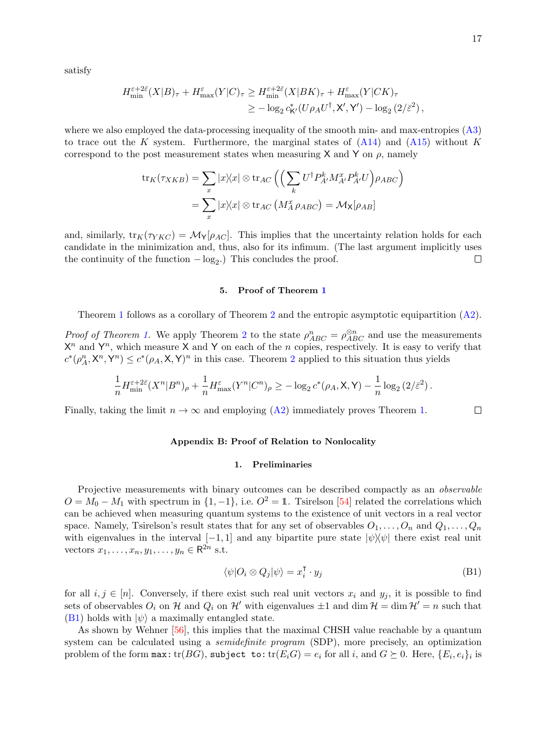satisfy

$$
H_{\min}^{\varepsilon+2\bar{\varepsilon}}(X|B)_{\tau} + H_{\max}^{\varepsilon}(Y|C)_{\tau} \ge H_{\min}^{\varepsilon+2\bar{\varepsilon}}(X|BK)_{\tau} + H_{\max}^{\varepsilon}(Y|CK)_{\tau}
$$
  

$$
\ge -\log_2 c_{\mathsf{K}'}^*(U\rho_A U^{\dagger}, \mathsf{X}', \mathsf{Y}') - \log_2\left(2/\bar{\varepsilon}^2\right),
$$

where we also employed the data-processing inequality of the smooth min- and max-entropies [\(A3\)](#page-12-2) to trace out the K system. Furthermore, the marginal states of  $(A14)$  and  $(A15)$  without K correspond to the post measurement states when measuring X and Y on  $\rho$ , namely

$$
\operatorname{tr}_{K}(\tau_{XKB}) = \sum_{x} |x\rangle\langle x| \otimes \operatorname{tr}_{AC} \left( \left( \sum_{k} U^{\dagger} P_{A'}^{k} M_{A'}^{x} P_{A'}^{k} U \right) \rho_{ABC} \right)
$$

$$
= \sum_{x} |x\rangle\langle x| \otimes \operatorname{tr}_{AC} \left( M_{A}^{x} \rho_{ABC} \right) = \mathcal{M}_{X}[\rho_{AB}]
$$

and, similarly,  $tr_K(\tau_{YKC}) = \mathcal{M}_{Y}[\rho_{AC}]$ . This implies that the uncertainty relation holds for each candidate in the minimization and, thus, also for its infimum. (The last argument implicitly uses the continuity of the function  $-\log_2$ .) This concludes the proof.  $\Box$ 

# 5. Proof of Theorem [1](#page-4-0)

Theorem [1](#page-4-0) follows as a corollary of Theorem [2](#page-5-0) and the entropic asymptotic equipartition [\(A2\)](#page-12-4).

*Proof of Theorem [1.](#page-4-0)* We apply Theorem [2](#page-5-0) to the state  $\rho_{ABC}^n = \rho_{ABC}^{\otimes n}$  and use the measurements  $X^n$  and  $Y^n$ , which measure X and Y on each of the n copies, respectively. It is easy to verify that  $c^*(\rho_A^n, \mathsf{X}^n, \mathsf{Y}^n) \leq c^*(\rho_A, \mathsf{X}, \mathsf{Y})^n$  in this case. Theorem [2](#page-5-0) applied to this situation thus yields

$$
\frac{1}{n} H_{\min}^{\varepsilon+2\bar{\varepsilon}}(X^n|B^n)_\rho + \frac{1}{n} H_{\max}^{\varepsilon}(Y^n|C^n)_\rho \geq -\log_2 c^*(\rho_A, \mathsf{X}, \mathsf{Y}) - \frac{1}{n}\log_2\left(2/\bar{\varepsilon}^2\right).
$$

Finally, taking the limit  $n \to \infty$  and employing [\(A2\)](#page-12-4) immediately proves Theorem [1.](#page-4-0)

## <span id="page-16-0"></span>Appendix B: Proof of Relation to Nonlocality

#### 1. Preliminaries

Projective measurements with binary outcomes can be described compactly as an *observable*  $O = M_0 - M_1$  with spectrum in  $\{1, -1\}$ , i.e.  $O^2 = 1$ . Tsirelson [\[54\]](#page-10-5) related the correlations which can be achieved when measuring quantum systems to the existence of unit vectors in a real vector space. Namely, Tsirelson's result states that for any set of observables  $O_1, \ldots, O_n$  and  $Q_1, \ldots, Q_n$ with eigenvalues in the interval  $[-1, 1]$  and any bipartite pure state  $|\psi\rangle\langle\psi|$  there exist real unit vectors  $x_1, \ldots, x_n, y_1, \ldots, y_n \in \mathsf{R}^{2n}$  s.t.

$$
\langle \psi | O_i \otimes Q_j | \psi \rangle = x_i^{\mathsf{T}} \cdot y_j \tag{B1}
$$

for all  $i, j \in [n]$ . Conversely, if there exist such real unit vectors  $x_i$  and  $y_j$ , it is possible to find sets of observables  $O_i$  on H and  $Q_i$  on H' with eigenvalues  $\pm 1$  and dim  $\mathcal{H} = \dim \mathcal{H}' = n$  such that [\(B1\)](#page-16-1) holds with  $|\psi\rangle$  a maximally entangled state.

As shown by Wehner [\[56\]](#page-10-23), this implies that the maximal CHSH value reachable by a quantum system can be calculated using a *semidefinite program* (SDP), more precisely, an optimization problem of the form  $\max:$  tr $(BG)$ , subject to:  $\text{tr}(E_iG) = e_i$  for all i, and  $G \succeq 0$ . Here,  $\{E_i, e_i\}_i$  is

<span id="page-16-1"></span> $\Box$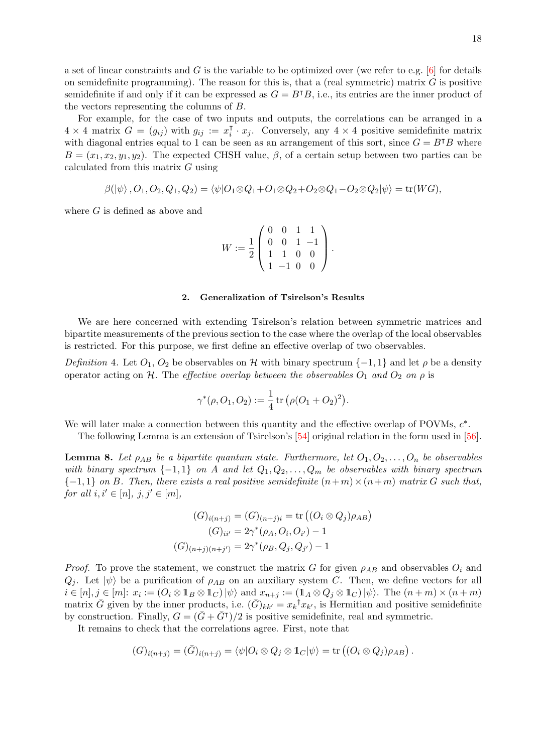a set of linear constraints and G is the variable to be optimized over (we refer to e.g.  $[6]$  for details on semidefinite programming). The reason for this is, that a (real symmetric) matrix  $G$  is positive semidefinite if and only if it can be expressed as  $G = B^{\dagger}B$ , i.e., its entries are the inner product of the vectors representing the columns of B.

For example, for the case of two inputs and outputs, the correlations can be arranged in a  $4 \times 4$  matrix  $G = (g_{ij})$  with  $g_{ij} := x_i^T$  $\overline{i} \cdot x_j$ . Conversely, any  $4 \times 4$  positive semidefinite matrix with diagonal entries equal to 1 can be seen as an arrangement of this sort, since  $G = B<sup>T</sup>B$  where  $B = (x_1, x_2, y_1, y_2)$ . The expected CHSH value,  $\beta$ , of a certain setup between two parties can be calculated from this matrix G using

$$
\beta(\ket{\psi},O_1,O_2,Q_1,Q_2)=\langle \psi|O_1\otimes Q_1+O_1\otimes Q_2+O_2\otimes Q_1-O_2\otimes Q_2|\psi\rangle=\text{tr}(WG),
$$

where  $G$  is defined as above and

$$
W := \frac{1}{2} \begin{pmatrix} 0 & 0 & 1 & 1 \\ 0 & 0 & 1 & -1 \\ 1 & 1 & 0 & 0 \\ 1 & -1 & 0 & 0 \end{pmatrix}.
$$

#### 2. Generalization of Tsirelson's Results

We are here concerned with extending Tsirelson's relation between symmetric matrices and bipartite measurements of the previous section to the case where the overlap of the local observables is restricted. For this purpose, we first define an effective overlap of two observables.

Definition 4. Let  $O_1$ ,  $O_2$  be observables on H with binary spectrum  $\{-1,1\}$  and let  $\rho$  be a density operator acting on H. The effective overlap between the observables  $O_1$  and  $O_2$  on  $\rho$  is

$$
\gamma^*(\rho, O_1, O_2) := \frac{1}{4} \operatorname{tr} (\rho (O_1 + O_2)^2).
$$

We will later make a connection between this quantity and the effective overlap of POVMs,  $c^*$ .

The following Lemma is an extension of Tsirelson's [\[54\]](#page-10-5) original relation in the form used in [\[56\]](#page-10-23).

<span id="page-17-0"></span>**Lemma 8.** Let  $\rho_{AB}$  be a bipartite quantum state. Furthermore, let  $O_1, O_2, \ldots, O_n$  be observables with binary spectrum  $\{-1,1\}$  on A and let  $Q_1, Q_2, \ldots, Q_m$  be observables with binary spectrum  ${-1,1}$  on B. Then, there exists a real positive semidefinite  $(n+m)\times(n+m)$  matrix G such that, for all  $i, i' \in [n], j, j' \in [m],$ 

$$
(G)_{i(n+j)} = (G)_{(n+j)i} = \text{tr}\left((O_i \otimes Q_j)\rho_{AB}\right)
$$

$$
(G)_{ii'} = 2\gamma^*(\rho_A, O_i, O_{i'}) - 1
$$

$$
(G)_{(n+j)(n+j')} = 2\gamma^*(\rho_B, Q_j, Q_{j'}) - 1
$$

*Proof.* To prove the statement, we construct the matrix G for given  $\rho_{AB}$  and observables  $O_i$  and  $Q_i$ . Let  $|\psi\rangle$  be a purification of  $\rho_{AB}$  on an auxiliary system C. Then, we define vectors for all  $i \in [n], j \in [m]$ :  $x_i := (O_i \otimes 1_B \otimes 1_C) \ket{\psi}$  and  $x_{n+j} := (1_A \otimes Q_j \otimes 1_C) \ket{\psi}$ . The  $(n+m) \times (n+m)$ matrix  $\bar{G}$  given by the inner products, i.e.  $(\bar{G})_{kk'} = x_k^{\dagger} x_{k'}$ , is Hermitian and positive semidefinite by construction. Finally,  $G = (\bar{G} + \bar{G}^{\dagger})/2$  is positive semidefinite, real and symmetric.

It remains to check that the correlations agree. First, note that

$$
(G)_{i(n+j)} = (\bar{G})_{i(n+j)} = \langle \psi | O_i \otimes Q_j \otimes \mathbb{1}_C | \psi \rangle = \text{tr} \left( (O_i \otimes Q_j) \rho_{AB} \right).
$$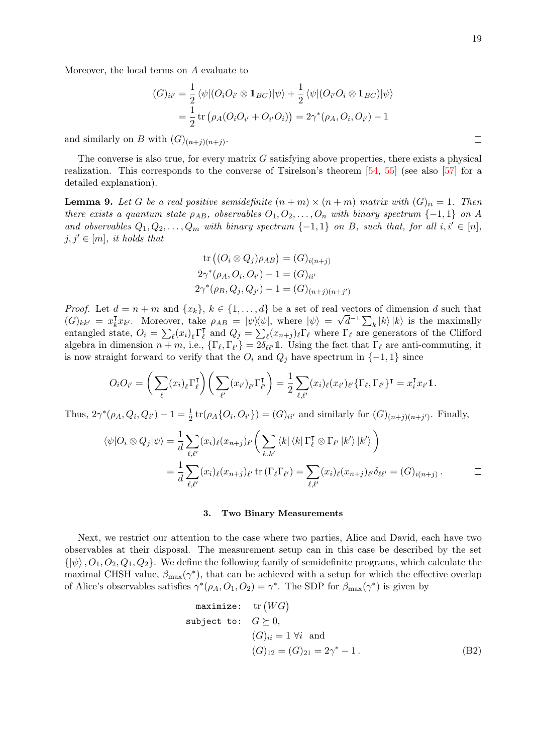$\Box$ 

Moreover, the local terms on A evaluate to

$$
(G)_{ii'} = \frac{1}{2} \langle \psi | (O_i O_{i'} \otimes \mathbb{1}_{BC}) | \psi \rangle + \frac{1}{2} \langle \psi | (O_{i'} O_i \otimes \mathbb{1}_{BC}) | \psi \rangle
$$
  
= 
$$
\frac{1}{2} \operatorname{tr} (\rho_A (O_i O_{i'} + O_{i'} O_i)) = 2\gamma^* (\rho_A, O_i, O_{i'}) - 1
$$

and similarly on B with  $(G)_{(n+j)(n+j)}$ .

The converse is also true, for every matrix  $G$  satisfying above properties, there exists a physical realization. This corresponds to the converse of Tsirelson's theorem [\[54,](#page-10-5) [55\]](#page-10-24) (see also [\[57\]](#page-10-25) for a detailed explanation).

<span id="page-18-0"></span>**Lemma 9.** Let G be a real positive semidefinite  $(n + m) \times (n + m)$  matrix with  $(G)_{ii} = 1$ . Then there exists a quantum state  $\rho_{AB}$ , observables  $O_1, O_2, \ldots, O_n$  with binary spectrum {-1,1} on A and observables  $Q_1, Q_2, \ldots, Q_m$  with binary spectrum  $\{-1, 1\}$  on B, such that, for all  $i, i' \in [n]$ ,  $j, j' \in [m]$ , it holds that

tr 
$$
((O_i \otimes Q_j)\rho_{AB}) = (G)_{i(n+j)}
$$
  
\n $2\gamma^*(\rho_A, O_i, O_{i'}) - 1 = (G)_{ii'}$   
\n $2\gamma^*(\rho_B, Q_j, Q_{j'}) - 1 = (G)_{(n+j)(n+j')}$ 

*Proof.* Let  $d = n + m$  and  $\{x_k\}, k \in \{1, \ldots, d\}$  be a set of real vectors of dimension d such that  $(G)_{kk'} = x_k^{\mathsf{T}}$  $\bar{k}x_{k'}$ . Moreover, take  $\rho_{AB} = |\psi\rangle\langle\psi|$ , where  $|\psi\rangle = \sqrt{d}^{-1}\sum_{k}|k\rangle|k\rangle$  is the maximally entangled state,  $O_i = \sum_{\ell} (x_i)_{\ell} \Gamma_{\ell}^{\mathsf{T}}$  $\overline{\ell}$  and  $Q_j = \sum_{\ell} (x_{n+j})_{\ell} \Gamma_{\ell}$  where  $\Gamma_{\ell}$  are generators of the Clifford algebra in dimension  $n + m$ , i.e.,  $\{\Gamma_{\ell}, \Gamma_{\ell'}\} = 2\delta_{\ell\ell'}\mathbb{1}$ . Using the fact that  $\Gamma_{\ell}$  are anti-commuting, it is now straight forward to verify that the  $O_i$  and  $Q_j$  have spectrum in  $\{-1, 1\}$  since

$$
O_i O_{i'} = \left(\sum_{\ell} (x_i)_{\ell} \Gamma_{\ell}^{\mathsf{T}}\right) \left(\sum_{\ell'} (x_{i'})_{\ell'} \Gamma_{\ell'}^{\mathsf{T}}\right) = \frac{1}{2} \sum_{\ell, \ell'} (x_i)_{\ell} (x_{i'})_{\ell'} \{\Gamma_{\ell}, \Gamma_{\ell'}\}^{\mathsf{T}} = x_i^{\mathsf{T}} x_{i'} \mathbb{1}.
$$

Thus,  $2\gamma^*(\rho_A, Q_i, Q_{i'}) - 1 = \frac{1}{2} \text{tr}(\rho_A \{Q_i, Q_{i'}\}) = (G)_{ii'}$  and similarly for  $(G)_{(n+j)(n+j')}$ . Finally,

$$
\langle \psi | O_i \otimes Q_j | \psi \rangle = \frac{1}{d} \sum_{\ell, \ell'} (x_i)_\ell (x_{n+j})_{\ell'} \left( \sum_{k, k'} \langle k | \langle k | \Gamma_\ell^{\mathsf{T}} \otimes \Gamma_{\ell'} | k' \rangle | k' \rangle \right)
$$
  
= 
$$
\frac{1}{d} \sum_{\ell, \ell'} (x_i)_\ell (x_{n+j})_{\ell'} \operatorname{tr} (\Gamma_\ell \Gamma_{\ell'}) = \sum_{\ell, \ell'} (x_i)_\ell (x_{n+j})_{\ell'} \delta_{\ell \ell'} = (G)_{i(n+j)} .
$$

### 3. Two Binary Measurements

Next, we restrict our attention to the case where two parties, Alice and David, each have two observables at their disposal. The measurement setup can in this case be described by the set  $\{|\psi\rangle, O_1, O_2, Q_1, Q_2\}$ . We define the following family of semidefinite programs, which calculate the maximal CHSH value,  $\beta_{\text{max}}(\gamma^*)$ , that can be achieved with a setup for which the effective overlap of Alice's observables satisfies  $\gamma^*(\rho_A, O_1, O_2) = \gamma^*$ . The SDP for  $\beta_{\max}(\gamma^*)$  is given by

<span id="page-18-1"></span>
$$
\begin{array}{ll}\n\text{maximize:} & \text{tr}(WG) \\
\text{subject to:} & G \succeq 0, \\
& (G)_{ii} = 1 \; \forall i \; \text{ and} \\
& (G)_{12} = (G)_{21} = 2\gamma^* - 1.\n\end{array} \tag{B2}
$$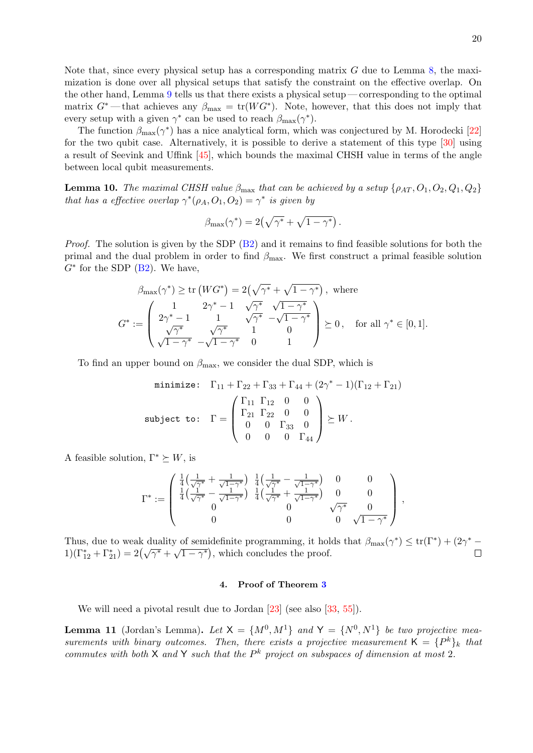Note that, since every physical setup has a corresponding matrix G due to Lemma [8,](#page-17-0) the maximization is done over all physical setups that satisfy the constraint on the effective overlap. On the other hand, Lemma [9](#page-18-0) tells us that there exists a physical setup— corresponding to the optimal matrix  $G^*$  — that achieves any  $\beta_{\text{max}} = \text{tr}(WG^*)$ . Note, however, that this does not imply that every setup with a given  $\gamma^*$  can be used to reach  $\beta_{\text{max}}(\gamma^*)$ .

The function  $\beta_{\text{max}}(\gamma^*)$  has a nice analytical form, which was conjectured by M. Horodecki [\[22\]](#page-9-13) for the two qubit case. Alternatively, it is possible to derive a statement of this type [\[30\]](#page-9-14) using a result of Seevink and Uffink [\[45\]](#page-10-6), which bounds the maximal CHSH value in terms of the angle between local qubit measurements.

<span id="page-19-1"></span>**Lemma 10.** The maximal CHSH value  $\beta_{\text{max}}$  that can be achieved by a setup  $\{\rho_{AT}, O_1, O_2, Q_1, Q_2\}$ that has a effective overlap  $\gamma^*(\rho_A, O_1, O_2) = \gamma^*$  is given by

$$
\beta_{\max}(\gamma^*) = 2(\sqrt{\gamma^*} + \sqrt{1-\gamma^*})
$$

*Proof.* The solution is given by the SDP  $(B2)$  and it remains to find feasible solutions for both the primal and the dual problem in order to find  $\beta_{\text{max}}$ . We first construct a primal feasible solution  $G^*$  for the SDP  $(B2)$ . We have,

$$
\beta_{\max}(\gamma^*) \ge \text{tr}\left(WG^*\right) = 2\left(\sqrt{\gamma^*} + \sqrt{1-\gamma^*}\right), \text{ where}
$$
\n
$$
G^* := \begin{pmatrix} 1 & 2\gamma^* - 1 & \sqrt{\gamma^*} & \sqrt{1-\gamma^*} \\ 2\gamma^* - 1 & 1 & \sqrt{\gamma^*} & -\sqrt{1-\gamma^*} \\ \sqrt{\gamma^*} & \sqrt{\gamma^*} & 1 & 0 \\ \sqrt{1-\gamma^*} & -\sqrt{1-\gamma^*} & 0 & 1 \end{pmatrix} \succeq 0, \text{ for all } \gamma^* \in [0,1].
$$

To find an upper bound on  $\beta_{\text{max}}$ , we consider the dual SDP, which is

minimize: 
$$
\Gamma_{11} + \Gamma_{22} + \Gamma_{33} + \Gamma_{44} + (2\gamma^* - 1)(\Gamma_{12} + \Gamma_{21})
$$
  
\nsubject to:  $\Gamma = \begin{pmatrix} \Gamma_{11} & \Gamma_{12} & 0 & 0 \\ \Gamma_{21} & \Gamma_{22} & 0 & 0 \\ 0 & 0 & \Gamma_{33} & 0 \\ 0 & 0 & 0 & \Gamma_{44} \end{pmatrix} \succeq W$ .

A feasible solution,  $\Gamma^* \succeq W$ , is

$$
\Gamma^* := \begin{pmatrix} \frac{1}{4} \left( \frac{1}{\sqrt{\gamma^*}} + \frac{1}{\sqrt{1-\gamma^*}} \right) & \frac{1}{4} \left( \frac{1}{\sqrt{\gamma^*}} - \frac{1}{\sqrt{1-\gamma^*}} \right) & 0 & 0 \\ \frac{1}{4} \left( \frac{1}{\sqrt{\gamma^*}} - \frac{1}{\sqrt{1-\gamma^*}} \right) & \frac{1}{4} \left( \frac{1}{\sqrt{\gamma^*}} + \frac{1}{\sqrt{1-\gamma^*}} \right) & 0 & 0 \\ 0 & 0 & 0 & \sqrt{\gamma^*} & 0 \\ 0 & 0 & 0 & \sqrt{1-\gamma^*} \end{pmatrix},
$$

Thus, due to weak duality of semidefinite programming, it holds that  $\beta_{\max}(\gamma^*) \leq \text{tr}(\Gamma^*) + (2\gamma^* -$ Thus, due to weak duality of semidentified programming, it not<br>  $1)(\Gamma_{12}^* + \Gamma_{21}^*) = 2(\sqrt{\gamma^*} + \sqrt{1 - \gamma^*})$ , which concludes the proof.  $\Box$ 

#### 4. Proof of Theorem [3](#page-6-3)

We will need a pivotal result due to Jordan [\[23\]](#page-9-27) (see also [\[33,](#page-10-26) [55\]](#page-10-24)).

<span id="page-19-0"></span>**Lemma 11** (Jordan's Lemma). Let  $X = \{M^0, M^1\}$  and  $Y = \{N^0, N^1\}$  be two projective measurements with binary outcomes. Then, there exists a projective measurement  $K = \{P^k\}_k$  that commutes with both  $X$  and  $Y$  such that the  $P^k$  project on subspaces of dimension at most 2.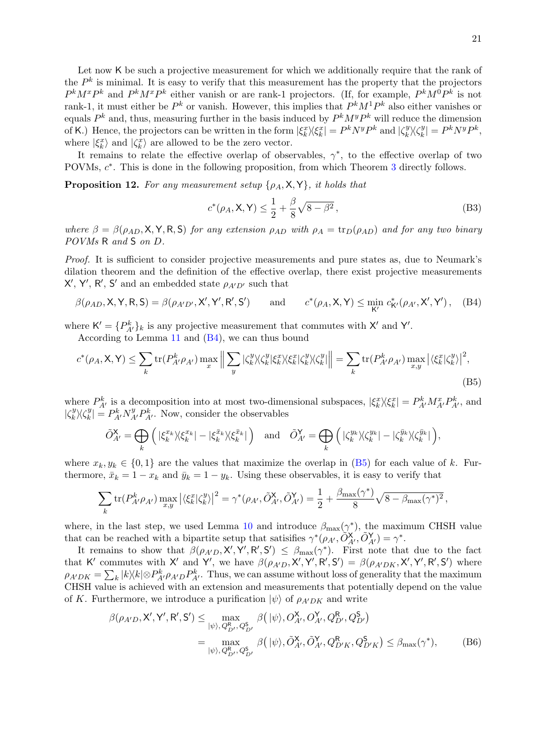Let now K be such a projective measurement for which we additionally require that the rank of the  $P<sup>k</sup>$  is minimal. It is easy to verify that this measurement has the property that the projectors  $P^k M^x P^k$  and  $P^k M^x P^k$  either vanish or are rank-1 projectors. (If, for example,  $P^k M^0 P^k$  is not rank-1, it must either be  $P^k$  or vanish. However, this implies that  $P^kM^1P^k$  also either vanishes or equals  $P^k$  and, thus, measuring further in the basis induced by  $P^k M^y P^k$  will reduce the dimension of K.) Hence, the projectors can be written in the form  $|\xi_k^x\rangle\langle \xi_k^x| = P^k N^y P^k$  and  $|\zeta_k^y|$  $\chi_k^y \rangle \langle \zeta_k^y$  $|v_k^y| = P^k N^y P^k,$ where  $|\xi_k^x\rangle$  and  $|\zeta_k^x\rangle$  are allowed to be the zero vector.

It remains to relate the effective overlap of observables,  $\gamma^*$ , to the effective overlap of two POVMs,  $c^*$ . This is done in the following proposition, from which Theorem [3](#page-6-3) directly follows.

**Proposition 12.** For any measurement setup  $\{\rho_A, \mathsf{X}, \mathsf{Y}\}\$ , it holds that

<span id="page-20-1"></span><span id="page-20-0"></span>
$$
c^*(\rho_A, \mathsf{X}, \mathsf{Y}) \le \frac{1}{2} + \frac{\beta}{8}\sqrt{8 - \beta^2},
$$
 (B3)

where  $\beta = \beta(\rho_{AD}, \mathsf{X}, \mathsf{Y}, \mathsf{R}, \mathsf{S})$  for any extension  $\rho_{AD}$  with  $\rho_A = \text{tr}_D(\rho_{AD})$  and for any two binary POVMs R and S on D.

Proof. It is sufficient to consider projective measurements and pure states as, due to Neumark's dilation theorem and the definition of the effective overlap, there exist projective measurements  $X'$ ,  $Y'$ ,  $R'$ ,  $S'$  and an embedded state  $\rho_{A'D'}$  such that

$$
\beta(\rho_{AD}, \mathsf{X}, \mathsf{Y}, \mathsf{R}, \mathsf{S}) = \beta(\rho_{A'D'}, \mathsf{X'}, \mathsf{Y'}, \mathsf{R'}, \mathsf{S'}) \quad \text{and} \quad c^*(\rho_A, \mathsf{X}, \mathsf{Y}) \le \min_{\mathsf{K'}} c^*_{\mathsf{K'}}(\rho_{A'}, \mathsf{X'}, \mathsf{Y'}), \quad \text{(B4)}
$$

where  $\mathsf{K}' = \{P_{A'}^k\}_k$  is any projective measurement that commutes with  $\mathsf{X}'$  and  $\mathsf{Y}'$ .

According to Lemma [11](#page-19-0) and [\(B4\)](#page-20-0), we can thus bound

$$
c^*(\rho_A, \mathsf{X}, \mathsf{Y}) \le \sum_k \text{tr}(P_{A'}^k \rho_{A'}) \max_x \left\| \sum_y |\zeta_k^y\rangle\langle\zeta_k^y|\xi_k^x\rangle\langle\zeta_k^y|\zeta_k^y\rangle\langle\zeta_k^y|\right\| = \sum_k \text{tr}(P_{A'}^k \rho_{A'}) \max_{x,y} |\langle\xi_k^x|\zeta_k^y\rangle|^2,
$$
\n(B5)

where  $P_{A'}^k$  is a decomposition into at most two-dimensional subspaces,  $|\xi_k^x\rangle\langle\xi_k^x| = P_{A'}^k M_{A'}^x P_{A'}^k$ , and  $|\zeta_k^y$  $\chi_k^y \rangle \langle \zeta_k^y$  $k = P_{A'}^k N_{A'}^y P_{A'}^k$ . Now, consider the observables

$$
\tilde{O}_{A'}^{\mathsf{X}} = \bigoplus_{k} \left( |\xi_{k}^{x_{k}}\rangle\langle\xi_{k}^{x_{k}}| - |\xi_{k}^{\bar{x}_{k}}\rangle\langle\xi_{k}^{\bar{x}_{k}}| \right) \text{ and } \tilde{O}_{A'}^{\mathsf{Y}} = \bigoplus_{k} \left( |\zeta_{k}^{y_{k}}\rangle\langle\zeta_{k}^{y_{k}}| - |\zeta_{k}^{\bar{y}_{k}}\rangle\langle\zeta_{k}^{\bar{y}_{k}}| \right),
$$

where  $x_k, y_k \in \{0, 1\}$  are the values that maximize the overlap in [\(B5\)](#page-20-1) for each value of k. Furthermore,  $\bar{x}_k = 1 - x_k$  and  $\bar{y}_k = 1 - y_k$ . Using these observables, it is easy to verify that

$$
\sum_{k} \text{tr}(P_{A'}^{k} \rho_{A'}) \max_{x,y} \left| \langle \xi_{k}^{x} | \zeta_{k}^{y} \rangle \right|^{2} = \gamma^{*}(\rho_{A'}, \tilde{O}_{A'}^{X}, \tilde{O}_{A'}^{Y}) = \frac{1}{2} + \frac{\beta_{\max}(\gamma^{*})}{8} \sqrt{8 - \beta_{\max}(\gamma^{*})^{2}},
$$

where, in the last step, we used Lemma [10](#page-19-1) and introduce  $\beta_{\text{max}}(\gamma^*)$ , the maximum CHSH value that can be reached with a bipartite setup that satisifies  $\gamma^*(\rho_{A'}, \tilde{O}_{A'}^{\mathbf{X}}, \tilde{O}_{A'}^{\mathbf{Y}}) = \gamma^*$ .

It remains to show that  $\beta(\rho_{A'D}, \mathsf{X}', \mathsf{Y}', \mathsf{R}', \mathsf{S}') \leq \beta_{\max}(\gamma^*)$ . First note that due to the fact that K' commutes with X' and Y', we have  $\beta(\rho_{A'D}, X', Y', R', S') = \beta(\rho_{A'DK}, X', Y', R', S')$  where  $\rho_{A'DK} = \sum_{k} |k\rangle\langle k| \otimes P_{A'D}^{k} P_{A'}^{k}$ . Thus, we can assume without loss of generality that the maximum CHSH value is achieved with an extension and measurements that potentially depend on the value of K. Furthermore, we introduce a purification  $|\psi\rangle$  of  $\rho_{A'DK}$  and write

<span id="page-20-2"></span>
$$
\beta(\rho_{A'D}, \mathbf{X}', \mathbf{Y}', \mathbf{R}', \mathbf{S}') \le \max_{|\psi\rangle, Q_{D'}^{\mathbf{R}}, Q_{D'}^{\mathbf{S}}} \beta(|\psi\rangle, O_{A'}^{\mathbf{X}}, O_{A'}^{\mathbf{Y}}, Q_{D'}^{\mathbf{R}}, Q_{D'}^{\mathbf{S}})
$$
\n
$$
= \max_{|\psi\rangle, Q_{D'}^{\mathbf{R}}, Q_{D'}^{\mathbf{S}}} \beta(|\psi\rangle, \tilde{O}_{A'}^{\mathbf{X}}, \tilde{O}_{A'}^{\mathbf{Y}}, Q_{D'K}^{\mathbf{R}}, Q_{D'K}^{\mathbf{S}}) \le \beta_{\max}(\gamma^*), \tag{B6}
$$